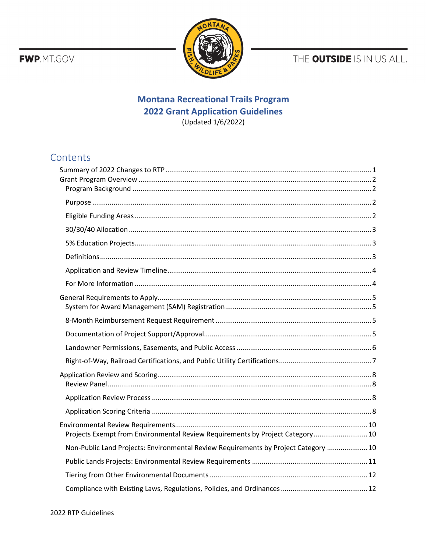**FWP**.MT.GOV



THE OUTSIDE IS IN US ALL.

# **Montana Recreational Trails Program 2022 Grant Application Guidelines** (Updated 1/6/2022)

# Contents

| Projects Exempt from Environmental Review Requirements by Project Category 10       |
|-------------------------------------------------------------------------------------|
| Non-Public Land Projects: Environmental Review Requirements by Project Category  10 |
|                                                                                     |
|                                                                                     |
|                                                                                     |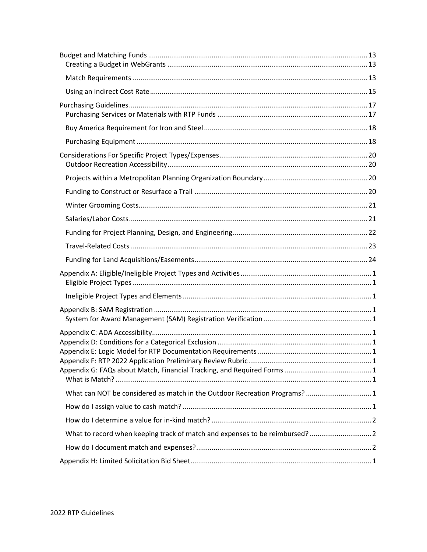| What can NOT be considered as match in the Outdoor Recreation Programs?  1   |  |
|------------------------------------------------------------------------------|--|
|                                                                              |  |
|                                                                              |  |
| What to record when keeping track of match and expenses to be reimbursed?  2 |  |
|                                                                              |  |
|                                                                              |  |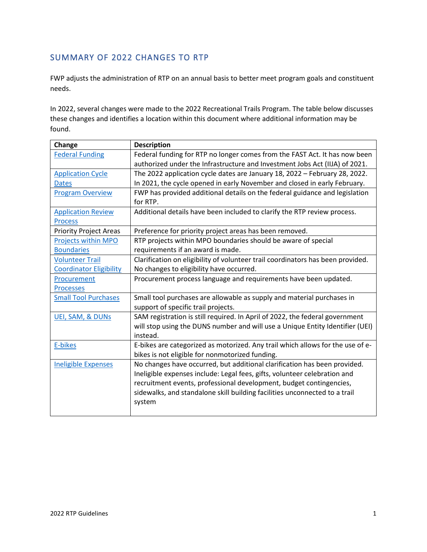# <span id="page-2-0"></span>SUMMARY OF 2022 CHANGES TO RTP

FWP adjusts the administration of RTP on an annual basis to better meet program goals and constituent needs.

In 2022, several changes were made to the 2022 Recreational Trails Program. The table below discusses these changes and identifies a location within this document where additional information may be found.

| Change                         | <b>Description</b>                                                              |
|--------------------------------|---------------------------------------------------------------------------------|
| <b>Federal Funding</b>         | Federal funding for RTP no longer comes from the FAST Act. It has now been      |
|                                | authorized under the Infrastructure and Investment Jobs Act (IIJA) of 2021.     |
| <b>Application Cycle</b>       | The 2022 application cycle dates are January 18, 2022 - February 28, 2022.      |
| <b>Dates</b>                   | In 2021, the cycle opened in early November and closed in early February.       |
| <b>Program Overview</b>        | FWP has provided additional details on the federal guidance and legislation     |
|                                | for RTP.                                                                        |
| <b>Application Review</b>      | Additional details have been included to clarify the RTP review process.        |
| <b>Process</b>                 |                                                                                 |
| <b>Priority Project Areas</b>  | Preference for priority project areas has been removed.                         |
| Projects within MPO            | RTP projects within MPO boundaries should be aware of special                   |
| <b>Boundaries</b>              | requirements if an award is made.                                               |
| <b>Volunteer Trail</b>         | Clarification on eligibility of volunteer trail coordinators has been provided. |
| <b>Coordinator Eligibility</b> | No changes to eligibility have occurred.                                        |
| Procurement                    | Procurement process language and requirements have been updated.                |
| <b>Processes</b>               |                                                                                 |
| <b>Small Tool Purchases</b>    | Small tool purchases are allowable as supply and material purchases in          |
|                                | support of specific trail projects.                                             |
| <b>UEI, SAM, &amp; DUNS</b>    | SAM registration is still required. In April of 2022, the federal government    |
|                                | will stop using the DUNS number and will use a Unique Entity Identifier (UEI)   |
|                                | instead.                                                                        |
| E-bikes                        | E-bikes are categorized as motorized. Any trail which allows for the use of e-  |
|                                | bikes is not eligible for nonmotorized funding.                                 |
| <b>Ineligible Expenses</b>     | No changes have occurred, but additional clarification has been provided.       |
|                                | Ineligible expenses include: Legal fees, gifts, volunteer celebration and       |
|                                | recruitment events, professional development, budget contingencies,             |
|                                | sidewalks, and standalone skill building facilities unconnected to a trail      |
|                                | system                                                                          |
|                                |                                                                                 |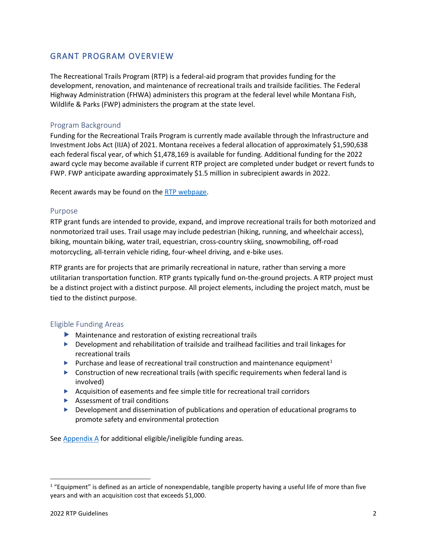## <span id="page-3-0"></span>GRANT PROGRAM OVERVIEW

The Recreational Trails Program (RTP) is a federal-aid program that provides funding for the development, renovation, and maintenance of recreational trails and trailside facilities. The Federal Highway Administration (FHWA) administers this program at the federal level while Montana Fish, Wildlife & Parks (FWP) administers the program at the state level.

### <span id="page-3-1"></span>Program Background

Funding for the Recreational Trails Program is currently made available through the Infrastructure and Investment Jobs Act (IIJA) of 2021. Montana receives a federal allocation of approximately \$1,590,638 each federal fiscal year, of which \$1,478,169 is available for funding. Additional funding for the 2022 award cycle may become available if current RTP project are completed under budget or revert funds to FWP. FWP anticipate awarding approximately \$1.5 million in subrecipient awards in 2022.

Recent awards may be found on the [RTP webpage.](https://fwp.mt.gov/aboutfwp/grant-programs/recreational-trails)

#### <span id="page-3-2"></span>Purpose

RTP grant funds are intended to provide, expand, and improve recreational trails for both motorized and nonmotorized trail uses. Trail usage may include pedestrian (hiking, running, and wheelchair access), biking, mountain biking, water trail, equestrian, cross-country skiing, snowmobiling, off-road motorcycling, all-terrain vehicle riding, four-wheel driving, and e-bike uses.

RTP grants are for projects that are primarily recreational in nature, rather than serving a more utilitarian transportation function. RTP grants typically fund on-the-ground projects. A RTP project must be a distinct project with a distinct purpose. All project elements, including the project match, must be tied to the distinct purpose.

## <span id="page-3-3"></span>Eligible Funding Areas

- Maintenance and restoration of existing recreational trails
- Development and rehabilitation of trailside and trailhead facilities and trail linkages for recreational trails
- **Purchase and lease of recreational trail construction and maintenance equipment**<sup>[1](#page-3-4)</sup>
- $\triangleright$  Construction of new recreational trails (with specific requirements when federal land is involved)
- Acquisition of easements and fee simple title for recreational trail corridors
- Assessment of trail conditions
- **Development and dissemination of publications and operation of educational programs to** promote safety and environmental protection

Se[e Appendix A](#page-26-0) for additional eligible/ineligible funding areas.

<span id="page-3-4"></span> $1$  "Equipment" is defined as an article of nonexpendable, tangible property having a useful life of more than five years and with an acquisition cost that exceeds \$1,000.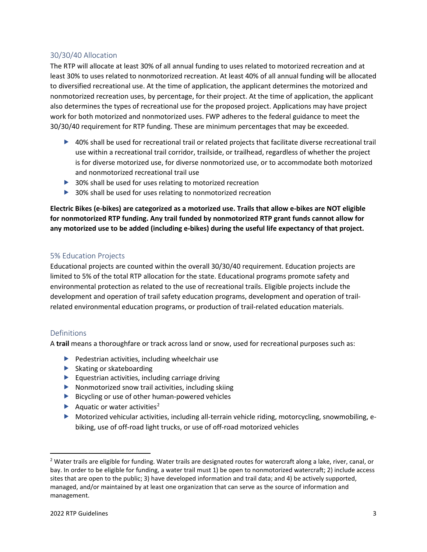### <span id="page-4-0"></span>30/30/40 Allocation

The RTP will allocate at least 30% of all annual funding to uses related to motorized recreation and at least 30% to uses related to nonmotorized recreation. At least 40% of all annual funding will be allocated to diversified recreational use. At the time of application, the applicant determines the motorized and nonmotorized recreation uses, by percentage, for their project. At the time of application, the applicant also determines the types of recreational use for the proposed project. Applications may have project work for both motorized and nonmotorized uses. FWP adheres to the federal guidance to meet the 30/30/40 requirement for RTP funding. These are minimum percentages that may be exceeded.

- ▶ 40% shall be used for recreational trail or related projects that facilitate diverse recreational trail use within a recreational trail corridor, trailside, or trailhead, regardless of whether the project is for diverse motorized use, for diverse nonmotorized use, or to accommodate both motorized and nonmotorized recreational trail use
- ▶ 30% shall be used for uses relating to motorized recreation
- ▶ 30% shall be used for uses relating to nonmotorized recreation

**Electric Bikes (e-bikes) are categorized as a motorized use. Trails that allow e-bikes are NOT eligible for nonmotorized RTP funding. Any trail funded by nonmotorized RTP grant funds cannot allow for any motorized use to be added (including e-bikes) during the useful life expectancy of that project.** 

#### <span id="page-4-1"></span>5% Education Projects

Educational projects are counted within the overall 30/30/40 requirement. Education projects are limited to 5% of the total RTP allocation for the state. Educational programs promote safety and environmental protection as related to the use of recreational trails. Eligible projects include the development and operation of trail safety education programs, development and operation of trailrelated environmental education programs, or production of trail-related education materials.

#### <span id="page-4-2"></span>Definitions

A **trail** means a thoroughfare or track across land or snow, used for recreational purposes such as:

- $\blacktriangleright$  Pedestrian activities, including wheelchair use
- $\blacktriangleright$  Skating or skateboarding
- $\blacktriangleright$  Equestrian activities, including carriage driving
- Nonmotorized snow trail activities, including skiing
- $\blacktriangleright$  Bicycling or use of other human-powered vehicles
- Aquatic or water activities<sup>[2](#page-4-3)</sup>
- Motorized vehicular activities, including all-terrain vehicle riding, motorcycling, snowmobiling, ebiking, use of off-road light trucks, or use of off-road motorized vehicles

<span id="page-4-3"></span> $2$  Water trails are eligible for funding. Water trails are designated routes for watercraft along a lake, river, canal, or bay. In order to be eligible for funding, a water trail must 1) be open to nonmotorized watercraft; 2) include access sites that are open to the public; 3) have developed information and trail data; and 4) be actively supported, managed, and/or maintained by at least one organization that can serve as the source of information and management.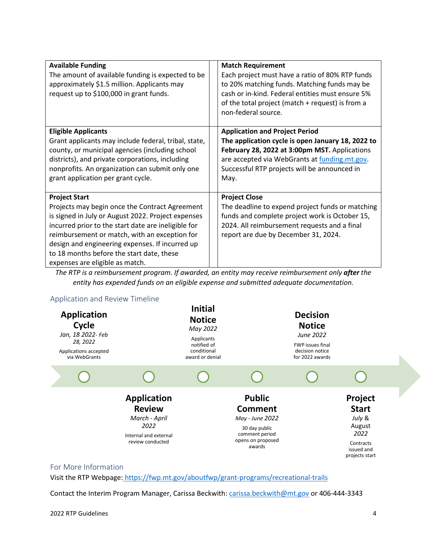| <b>Available Funding</b><br>The amount of available funding is expected to be<br>approximately \$1.5 million. Applicants may<br>request up to \$100,000 in grant funds.                                                                                                                                                                                                 | <b>Match Requirement</b><br>Each project must have a ratio of 80% RTP funds<br>to 20% matching funds. Matching funds may be<br>cash or in-kind. Federal entities must ensure 5%<br>of the total project (match + request) is from a<br>non-federal source. |
|-------------------------------------------------------------------------------------------------------------------------------------------------------------------------------------------------------------------------------------------------------------------------------------------------------------------------------------------------------------------------|------------------------------------------------------------------------------------------------------------------------------------------------------------------------------------------------------------------------------------------------------------|
| <b>Eligible Applicants</b><br>Grant applicants may include federal, tribal, state,<br>county, or municipal agencies (including school<br>districts), and private corporations, including<br>nonprofits. An organization can submit only one<br>grant application per grant cycle.                                                                                       | <b>Application and Project Period</b><br>The application cycle is open January 18, 2022 to<br>February 28, 2022 at 3:00pm MST. Applications<br>are accepted via WebGrants at funding.mt.gov.<br>Successful RTP projects will be announced in<br>May.       |
| <b>Project Start</b><br>Projects may begin once the Contract Agreement<br>is signed in July or August 2022. Project expenses<br>incurred prior to the start date are ineligible for<br>reimbursement or match, with an exception for<br>design and engineering expenses. If incurred up<br>to 18 months before the start date, these<br>expenses are eligible as match. | <b>Project Close</b><br>The deadline to expend project funds or matching<br>funds and complete project work is October 15,<br>2024. All reimbursement requests and a final<br>report are due by December 31, 2024.                                         |

*The RTP is a reimbursement program. If awarded, an entity may receive reimbursement only after the entity has expended funds on an eligible expense and submitted adequate documentation.*

### <span id="page-5-0"></span>Application and Review Timeline



#### <span id="page-5-1"></span>For More Information

Visit the RTP Webpage: https://fwp.mt.gov/aboutfwp/grant-programs/recreational-trails

Contact the Interim Program Manager, Carissa Beckwith[: carissa.beckwith@mt.gov](mailto:carissa.beckwith@mt.gov) or 406-444-3343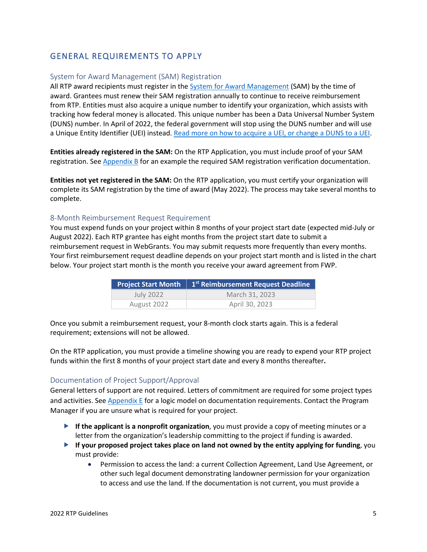# <span id="page-6-0"></span>GENERAL REQUIREMENTS TO APPLY

### <span id="page-6-1"></span>System for Award Management (SAM) Registration

All RTP award recipients must register in the [System for Award Management](https://sam.gov/content/home) (SAM) by the time of award. Grantees must renew their SAM registration annually to continue to receive reimbursement from RTP. Entities must also acquire a unique number to identify your organization, which assists with tracking how federal money is allocated. This unique number has been a Data Universal Number System (DUNS) number. In April of 2022, the federal government will stop using the DUNS number and will use a Unique Entity Identifier (UEI) instead. [Read more on how to acquire a UEI, or change a DUNS to a UEI.](https://www.gsa.gov/about-us/organization/federal-acquisition-service/office-of-systems-management/integrated-award-environment-iae/iae-systems-information-kit/unique-entity-identifier-update)

**Entities already registered in the SAM:** On the RTP Application, you must include proof of your SAM registration. Se[e Appendix B](#page-28-0) for an example the required SAM registration verification documentation.

**Entities not yet registered in the SAM:** On the RTP application, you must certify your organization will complete its SAM registration by the time of award (May 2022). The process may take several months to complete.

#### <span id="page-6-2"></span>8-Month Reimbursement Request Requirement

You must expend funds on your project within 8 months of your project start date (expected mid-July or August 2022). Each RTP grantee has eight months from the project start date to submit a reimbursement request in WebGrants. You may submit requests more frequently than every months. Your first reimbursement request deadline depends on your project start month and is listed in the chart below. Your project start month is the month you receive your award agreement from FWP.

|             | Project Start Month   1 <sup>st</sup> Reimbursement Request Deadline |
|-------------|----------------------------------------------------------------------|
| July 2022   | March 31, 2023                                                       |
| August 2022 | April 30, 2023                                                       |

Once you submit a reimbursement request, your 8-month clock starts again. This is a federal requirement; extensions will not be allowed.

On the RTP application, you must provide a timeline showing you are ready to expend your RTP project funds within the first 8 months of your project start date and every 8 months thereafter**.**

#### <span id="page-6-3"></span>Documentation of Project Support/Approval

General letters of support are not required. Letters of commitment are required for some project types and activities. Se[e Appendix E](#page-31-0) for a logic model on documentation requirements. Contact the Program Manager if you are unsure what is required for your project.

- **If the applicant is a nonprofit organization**, you must provide a copy of meeting minutes or a letter from the organization's leadership committing to the project if funding is awarded.
- **If your proposed project takes place on land not owned by the entity applying for funding**, you must provide:
	- Permission to access the land: a current Collection Agreement, Land Use Agreement, or other such legal document demonstrating landowner permission for your organization to access and use the land. If the documentation is not current, you must provide a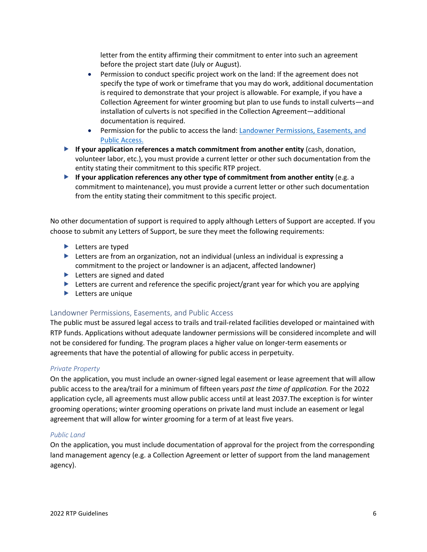letter from the entity affirming their commitment to enter into such an agreement before the project start date (July or August).

- Permission to conduct specific project work on the land: If the agreement does not specify the type of work or timeframe that you may do work, additional documentation is required to demonstrate that your project is allowable. For example, if you have a Collection Agreement for winter grooming but plan to use funds to install culverts—and installation of culverts is not specified in the Collection Agreement—additional documentation is required.
- Permission for the public to access the land: [Landowner Permissions, Easements, and](#page-7-0)  [Public Access.](#page-7-0)
- **If your application references a match commitment from another entity** (cash, donation, volunteer labor, etc.), you must provide a current letter or other such documentation from the entity stating their commitment to this specific RTP project.
- **If your application references any other type of commitment from another entity** (e.g. a commitment to maintenance), you must provide a current letter or other such documentation from the entity stating their commitment to this specific project.

No other documentation of support is required to apply although Letters of Support are accepted. If you choose to submit any Letters of Support, be sure they meet the following requirements:

- $\blacktriangleright$  Letters are typed
- Letters are from an organization, not an individual (unless an individual is expressing a commitment to the project or landowner is an adjacent, affected landowner)
- ▶ Letters are signed and dated
- $\blacktriangleright$  Letters are current and reference the specific project/grant year for which you are applying
- **Letters are unique**

#### <span id="page-7-0"></span>Landowner Permissions, Easements, and Public Access

The public must be assured legal access to trails and trail-related facilities developed or maintained with RTP funds. Applications without adequate landowner permissions will be considered incomplete and will not be considered for funding. The program places a higher value on longer-term easements or agreements that have the potential of allowing for public access in perpetuity.

#### *Private Property*

On the application, you must include an owner-signed legal easement or lease agreement that will allow public access to the area/trail for a minimum of fifteen years *past the time of application.* For the 2022 application cycle, all agreements must allow public access until at least 2037.The exception is for winter grooming operations; winter grooming operations on private land must include an easement or legal agreement that will allow for winter grooming for a term of at least five years.

#### *Public Land*

On the application, you must include documentation of approval for the project from the corresponding land management agency (e.g. a Collection Agreement or letter of support from the land management agency).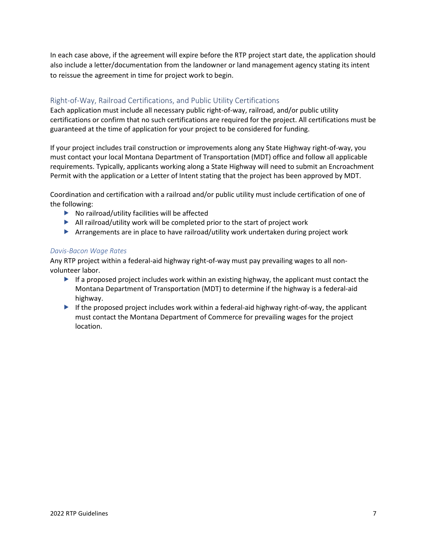In each case above, if the agreement will expire before the RTP project start date, the application should also include a letter/documentation from the landowner or land management agency stating its intent to reissue the agreement in time for project work to begin.

## <span id="page-8-0"></span>Right-of-Way, Railroad Certifications, and Public Utility Certifications

Each application must include all necessary public right-of-way, railroad, and/or public utility certifications or confirm that no such certifications are required for the project. All certifications must be guaranteed at the time of application for your project to be considered for funding.

If your project includes trail construction or improvements along any State Highway right-of-way, you must contact your local Montana Department of Transportation (MDT) office and follow all applicable requirements. Typically, applicants working along a State Highway will need to submit an Encroachment Permit with the application or a Letter of Intent stating that the project has been approved by MDT.

Coordination and certification with a railroad and/or public utility must include certification of one of the following:

- $\blacktriangleright$  No railroad/utility facilities will be affected
- $\blacktriangleright$  All railroad/utility work will be completed prior to the start of project work
- Arrangements are in place to have railroad/utility work undertaken during project work

#### *Davis-Bacon Wage Rates*

Any RTP project within a federal-aid highway right-of-way must pay prevailing wages to all nonvolunteer labor.

- If a proposed project includes work within an existing highway, the applicant must contact the Montana Department of Transportation (MDT) to determine if the highway is a federal-aid highway.
- If the proposed project includes work within a federal-aid highway right-of-way, the applicant must contact the Montana Department of Commerce for prevailing wages for the project location.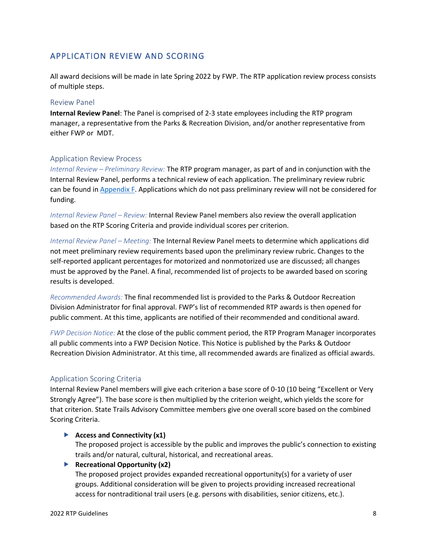## <span id="page-9-0"></span>APPLICATION REVIEW AND SCORING

All award decisions will be made in late Spring 2022 by FWP. The RTP application review process consists of multiple steps.

#### <span id="page-9-1"></span>Review Panel

**Internal Review Panel**: The Panel is comprised of 2-3 state employees including the RTP program manager, a representative from the Parks & Recreation Division, and/or another representative from either FWP or MDT.

### <span id="page-9-2"></span>Application Review Process

*Internal Review – Preliminary Review:* The RTP program manager, as part of and in conjunction with the Internal Review Panel, performs a technical review of each application. The preliminary review rubric can be found i[n Appendix F.](#page-33-0) Applications which do not pass preliminary review will not be considered for funding.

*Internal Review Panel – Review:* Internal Review Panel members also review the overall application based on the RTP Scoring Criteria and provide individual scores per criterion.

*Internal Review Panel – Meeting:* The Internal Review Panel meets to determine which applications did not meet preliminary review requirements based upon the preliminary review rubric. Changes to the self-reported applicant percentages for motorized and nonmotorized use are discussed; all changes must be approved by the Panel. A final, recommended list of projects to be awarded based on scoring results is developed.

*Recommended Awards:* The final recommended list is provided to the Parks & Outdoor Recreation Division Administrator for final approval. FWP's list of recommended RTP awards is then opened for public comment. At this time, applicants are notified of their recommended and conditional award.

*FWP Decision Notice:* At the close of the public comment period, the RTP Program Manager incorporates all public comments into a FWP Decision Notice. This Notice is published by the Parks & Outdoor Recreation Division Administrator. At this time, all recommended awards are finalized as official awards.

## <span id="page-9-3"></span>Application Scoring Criteria

Internal Review Panel members will give each criterion a base score of 0-10 (10 being "Excellent or Very Strongly Agree"). The base score is then multiplied by the criterion weight, which yields the score for that criterion. State Trails Advisory Committee members give one overall score based on the combined Scoring Criteria.

#### **Access and Connectivity (x1)**

The proposed project is accessible by the public and improves the public's connection to existing trails and/or natural, cultural, historical, and recreational areas.

#### **Recreational Opportunity (x2)**

The proposed project provides expanded recreational opportunity(s) for a variety of user groups. Additional consideration will be given to projects providing increased recreational access for nontraditional trail users (e.g. persons with disabilities, senior citizens, etc.).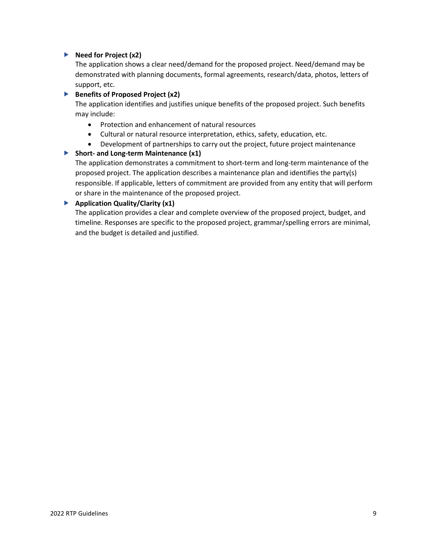### **Need for Project (x2)**

The application shows a clear need/demand for the proposed project. Need/demand may be demonstrated with planning documents, formal agreements, research/data, photos, letters of support, etc.

#### **Benefits of Proposed Project (x2)**

The application identifies and justifies unique benefits of the proposed project. Such benefits may include:

- Protection and enhancement of natural resources
- Cultural or natural resource interpretation, ethics, safety, education, etc.
- Development of partnerships to carry out the project, future project maintenance

### **Short- and Long-term Maintenance (x1)**

The application demonstrates a commitment to short-term and long-term maintenance of the proposed project. The application describes a maintenance plan and identifies the party(s) responsible. If applicable, letters of commitment are provided from any entity that will perform or share in the maintenance of the proposed project.

### **Application Quality/Clarity (x1)**

The application provides a clear and complete overview of the proposed project, budget, and timeline. Responses are specific to the proposed project, grammar/spelling errors are minimal, and the budget is detailed and justified.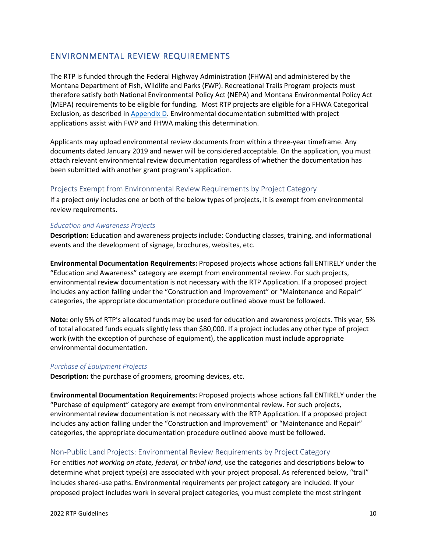## <span id="page-11-0"></span>ENVIRONMENTAL REVIEW REQUIREMENTS

The RTP is funded through the Federal Highway Administration (FHWA) and administered by the Montana Department of Fish, Wildlife and Parks (FWP). Recreational Trails Program projects must therefore satisfy both National Environmental Policy Act (NEPA) and Montana Environmental Policy Act (MEPA) requirements to be eligible for funding. Most RTP projects are eligible for a FHWA Categorical Exclusion, as described i[n Appendix D.](#page-30-0) Environmental documentation submitted with project applications assist with FWP and FHWA making this determination.

Applicants may upload environmental review documents from within a three-year timeframe. Any documents dated January 2019 and newer will be considered acceptable. On the application, you must attach relevant environmental review documentation regardless of whether the documentation has been submitted with another grant program's application.

### <span id="page-11-1"></span>Projects Exempt from Environmental Review Requirements by Project Category

If a project *only* includes one or both of the below types of projects, it is exempt from environmental review requirements.

#### *Education and Awareness Projects*

**Description:** Education and awareness projects include: Conducting classes, training, and informational events and the development of signage, brochures, websites, etc.

**Environmental Documentation Requirements:** Proposed projects whose actions fall ENTIRELY under the "Education and Awareness" category are exempt from environmental review. For such projects, environmental review documentation is not necessary with the RTP Application. If a proposed project includes any action falling under the "Construction and Improvement" or "Maintenance and Repair" categories, the appropriate documentation procedure outlined above must be followed.

**Note:** only 5% of RTP's allocated funds may be used for education and awareness projects. This year, 5% of total allocated funds equals slightly less than \$80,000. If a project includes any other type of project work (with the exception of purchase of equipment), the application must include appropriate environmental documentation.

#### *Purchase of Equipment Projects*

**Description:** the purchase of groomers, grooming devices, etc.

**Environmental Documentation Requirements:** Proposed projects whose actions fall ENTIRELY under the "Purchase of equipment" category are exempt from environmental review. For such projects, environmental review documentation is not necessary with the RTP Application. If a proposed project includes any action falling under the "Construction and Improvement" or "Maintenance and Repair" categories, the appropriate documentation procedure outlined above must be followed.

## <span id="page-11-2"></span>Non-Public Land Projects: Environmental Review Requirements by Project Category

For entities *not working on state, federal, or tribal land*, use the categories and descriptions below to determine what project type(s) are associated with your project proposal. As referenced below, "trail" includes shared-use paths. Environmental requirements per project category are included. If your proposed project includes work in several project categories, you must complete the most stringent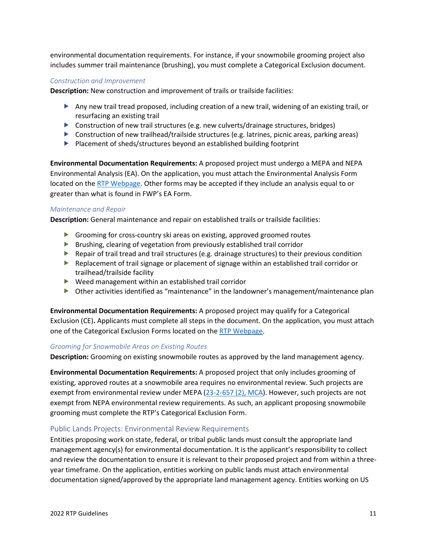environmental documentation requirements. For instance, if your snowmobile grooming project also includes summer trail maintenance (brushing), you must complete a Categorical Exclusion document.

#### *Construction and Improvement*

**Description:** New construction and improvement of trails or trailside facilities:

- Any new trail tread proposed, including creation of a new trail, widening of an existing trail, or resurfacing an existing trail
- Construction of new trail structures (e.g. new culverts/drainage structures, bridges)
- Construction of new trailhead/trailside structures (e.g. latrines, picnic areas, parking areas)
- Placement of sheds/structures beyond an established building footprint

**Environmental Documentation Requirements:** A proposed project must undergo a MEPA and NEPA Environmental Analysis (EA). On the application, you must attach the Environmental Analysis Form located on the [RTP Webpage.](https://fwp.mt.gov/aboutfwp/grant-programs/recreational-trails) Other forms may be accepted if they include an analysis equal to or greater than what is found in FWP's EA Form.

#### *Maintenance and Repair*

**Description:** General maintenance and repair on established trails or trailside facilities:

- **Grooming for cross-country ski areas on existing, approved groomed routes**
- **Brushing, clearing of vegetation from previously established trail corridor**
- Repair of trail tread and trail structures (e.g. drainage structures) to their previous condition
- Replacement of trail signage or placement of signage within an established trail corridor or trailhead/trailside facility
- Weed management within an established trail corridor
- Other activities identified as "maintenance" in the landowner's management/maintenance plan

**Environmental Documentation Requirements:** A proposed project may qualify for a Categorical Exclusion (CE)**.** Applicants must complete all steps in the document. On the application, you must attach one of the Categorical Exclusion Forms located on the [RTP Webpage.](https://fwp.mt.gov/aboutfwp/grant-programs/recreational-trails)

#### *Grooming for Snowmobile Areas on Existing Routes*

**Description:** Grooming on existing snowmobile routes as approved by the land management agency.

**Environmental Documentation Requirements:** A proposed project that only includes grooming of existing, approved routes at a snowmobile area requires no environmental review. Such projects are exempt from environmental review under MEPA [\(23-2-657 \(2\), MCA\)](https://leg.mt.gov/bills/MCA/title_0230/chapter_0020/part_0060/section_0570/0230-0020-0060-0570.html). However, such projects are not exempt from NEPA environmental review requirements. As such, an applicant proposing snowmobile grooming must complete the RTP's Categorical Exclusion Form.

#### <span id="page-12-0"></span>Public Lands Projects: Environmental Review Requirements

Entities proposing work on state, federal, or tribal public lands must consult the appropriate land management agency(s) for environmental documentation. It is the applicant's responsibility to collect and review the documentation to ensure it is relevant to their proposed project and from within a threeyear timeframe. On the application, entities working on public lands must attach environmental documentation signed/approved by the appropriate land management agency. Entities working on US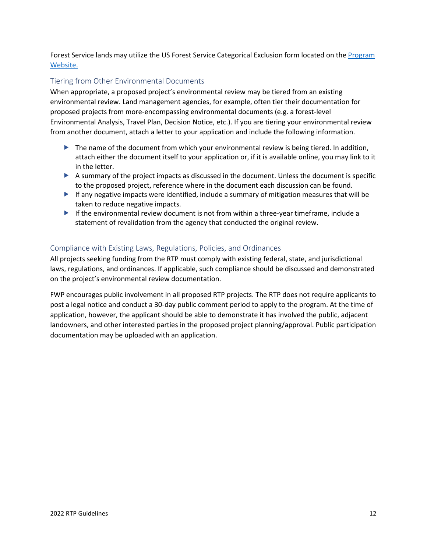Forest Service lands may utilize the US Forest Service Categorical Exclusion form located on the [Program](https://fwp.mt.gov/aboutfwp/grant-programs/recreational-trails) [Website.](https://fwp.mt.gov/aboutfwp/grant-programs/recreational-trails)

## <span id="page-13-0"></span>Tiering from Other Environmental Documents

When appropriate, a proposed project's environmental review may be tiered from an existing environmental review. Land management agencies, for example, often tier their documentation for proposed projects from more-encompassing environmental documents (e.g. a forest-level Environmental Analysis, Travel Plan, Decision Notice, etc.). If you are tiering your environmental review from another document, attach a letter to your application and include the following information.

- $\blacktriangleright$  The name of the document from which your environmental review is being tiered. In addition, attach either the document itself to your application or, if it is available online, you may link to it in the letter.
- A summary of the project impacts as discussed in the document. Unless the document is specific to the proposed project, reference where in the document each discussion can be found.
- If any negative impacts were identified, include a summary of mitigation measures that will be taken to reduce negative impacts.
- If the environmental review document is not from within a three-year timeframe, include a statement of revalidation from the agency that conducted the original review.

## <span id="page-13-1"></span>Compliance with Existing Laws, Regulations, Policies, and Ordinances

All projects seeking funding from the RTP must comply with existing federal, state, and jurisdictional laws, regulations, and ordinances. If applicable, such compliance should be discussed and demonstrated on the project's environmental review documentation.

FWP encourages public involvement in all proposed RTP projects. The RTP does not require applicants to post a legal notice and conduct a 30-day public comment period to apply to the program. At the time of application, however, the applicant should be able to demonstrate it has involved the public, adjacent landowners, and other interested parties in the proposed project planning/approval. Public participation documentation may be uploaded with an application.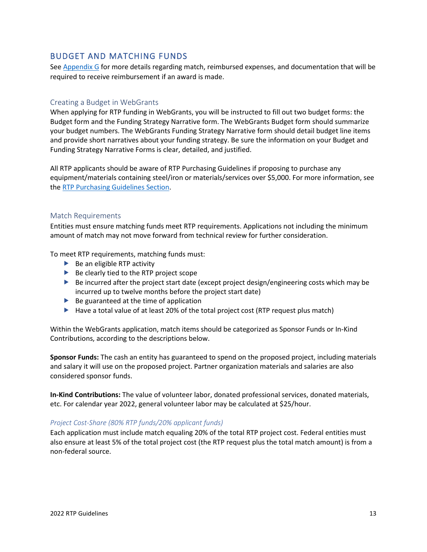## <span id="page-14-0"></span>BUDGET AND MATCHING FUNDS

Se[e Appendix G](#page-35-0) for more details regarding match, reimbursed expenses, and documentation that will be required to receive reimbursement if an award is made.

### <span id="page-14-1"></span>Creating a Budget in WebGrants

When applying for RTP funding in WebGrants, you will be instructed to fill out two budget forms: the Budget form and the Funding Strategy Narrative form. The WebGrants Budget form should summarize your budget numbers. The WebGrants Funding Strategy Narrative form should detail budget line items and provide short narratives about your funding strategy. Be sure the information on your Budget and Funding Strategy Narrative Forms is clear, detailed, and justified.

All RTP applicants should be aware of RTP Purchasing Guidelines if proposing to purchase any equipment/materials containing steel/iron or materials/services over \$5,000. For more information, see the [RTP Purchasing Guidelines Section.](#page-16-0)

#### <span id="page-14-2"></span>Match Requirements

Entities must ensure matching funds meet RTP requirements. Applications not including the minimum amount of match may not move forward from technical review for further consideration.

To meet RTP requirements, matching funds must:

- $\blacktriangleright$  Be an eligible RTP activity
- $\blacktriangleright$  Be clearly tied to the RTP project scope
- $\triangleright$  Be incurred after the project start date (except project design/engineering costs which may be incurred up to twelve months before the project start date)
- $\blacktriangleright$  Be guaranteed at the time of application
- $\blacktriangleright$  Have a total value of at least 20% of the total project cost (RTP request plus match)

Within the WebGrants application, match items should be categorized as Sponsor Funds or In-Kind Contributions, according to the descriptions below.

**Sponsor Funds:** The cash an entity has guaranteed to spend on the proposed project, including materials and salary it will use on the proposed project. Partner organization materials and salaries are also considered sponsor funds.

**In-Kind Contributions:** The value of volunteer labor, donated professional services, donated materials, etc. For calendar year 2022, general volunteer labor may be calculated at \$25/hour.

#### *Project Cost-Share (80% RTP funds/20% applicant funds)*

Each application must include match equaling 20% of the total RTP project cost. Federal entities must also ensure at least 5% of the total project cost (the RTP request plus the total match amount) is from a non-federal source.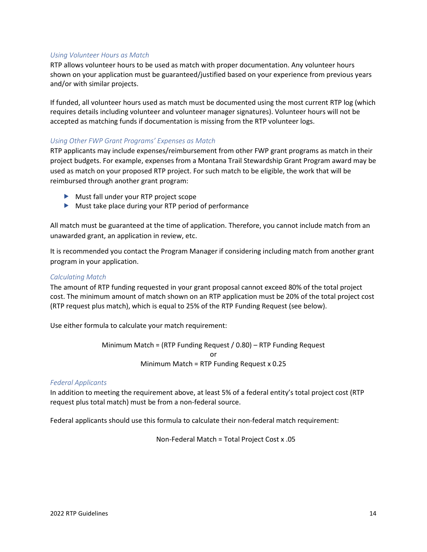#### *Using Volunteer Hours as Match*

RTP allows volunteer hours to be used as match with proper documentation. Any volunteer hours shown on your application must be guaranteed/justified based on your experience from previous years and/or with similar projects.

If funded, all volunteer hours used as match must be documented using the most current RTP log (which requires details including volunteer and volunteer manager signatures). Volunteer hours will not be accepted as matching funds if documentation is missing from the RTP volunteer logs.

#### *Using Other FWP Grant Programs' Expenses as Match*

RTP applicants may include expenses/reimbursement from other FWP grant programs as match in their project budgets. For example, expenses from a Montana Trail Stewardship Grant Program award may be used as match on your proposed RTP project. For such match to be eligible, the work that will be reimbursed through another grant program:

- Must fall under your RTP project scope
- Must take place during your RTP period of performance

All match must be guaranteed at the time of application. Therefore, you cannot include match from an unawarded grant, an application in review, etc.

It is recommended you contact the Program Manager if considering including match from another grant program in your application.

#### *Calculating Match*

The amount of RTP funding requested in your grant proposal cannot exceed 80% of the total project cost. The minimum amount of match shown on an RTP application must be 20% of the total project cost (RTP request plus match), which is equal to 25% of the RTP Funding Request (see below).

Use either formula to calculate your match requirement:

Minimum Match = (RTP Funding Request / 0.80) – RTP Funding Request or Minimum Match = RTP Funding Request x 0.25

#### *Federal Applicants*

In addition to meeting the requirement above, at least 5% of a federal entity's total project cost (RTP request plus total match) must be from a non-federal source.

Federal applicants should use this formula to calculate their non-federal match requirement:

Non-Federal Match = Total Project Cost x .05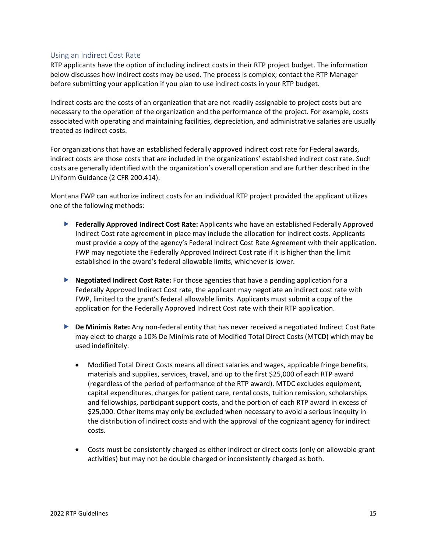#### <span id="page-16-0"></span>Using an Indirect Cost Rate

RTP applicants have the option of including indirect costs in their RTP project budget. The information below discusses how indirect costs may be used. The process is complex; contact the RTP Manager before submitting your application if you plan to use indirect costs in your RTP budget.

Indirect costs are the costs of an organization that are not readily assignable to project costs but are necessary to the operation of the organization and the performance of the project. For example, costs associated with operating and maintaining facilities, depreciation, and administrative salaries are usually treated as indirect costs.

For organizations that have an established federally approved indirect cost rate for Federal awards, indirect costs are those costs that are included in the organizations' established indirect cost rate. Such costs are generally identified with the organization's overall operation and are further described in the Uniform Guidance (2 CFR 200.414).

Montana FWP can authorize indirect costs for an individual RTP project provided the applicant utilizes one of the following methods:

- **Federally Approved Indirect Cost Rate:** Applicants who have an established Federally Approved Indirect Cost rate agreement in place may include the allocation for indirect costs. Applicants must provide a copy of the agency's Federal Indirect Cost Rate Agreement with their application. FWP may negotiate the Federally Approved Indirect Cost rate if it is higher than the limit established in the award's federal allowable limits, whichever is lower.
- **Negotiated Indirect Cost Rate:** For those agencies that have a pending application for a Federally Approved Indirect Cost rate, the applicant may negotiate an indirect cost rate with FWP, limited to the grant's federal allowable limits. Applicants must submit a copy of the application for the Federally Approved Indirect Cost rate with their RTP application.
- **De Minimis Rate:** Any non-federal entity that has never received a negotiated Indirect Cost Rate may elect to charge a 10% De Minimis rate of Modified Total Direct Costs (MTCD) which may be used indefinitely.
	- Modified Total Direct Costs means all direct salaries and wages, applicable fringe benefits, materials and supplies, services, travel, and up to the first \$25,000 of each RTP award (regardless of the period of performance of the RTP award). MTDC excludes equipment, capital expenditures, charges for patient care, rental costs, tuition remission, scholarships and fellowships, participant support costs, and the portion of each RTP award in excess of \$25,000. Other items may only be excluded when necessary to avoid a serious inequity in the distribution of indirect costs and with the approval of the cognizant agency for indirect costs.
	- Costs must be consistently charged as either indirect or direct costs (only on allowable grant activities) but may not be double charged or inconsistently charged as both.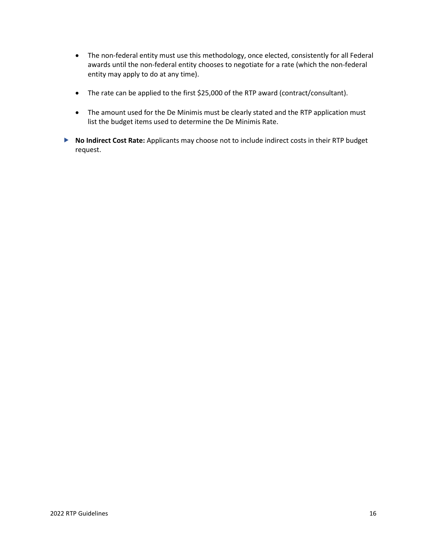- The non-federal entity must use this methodology, once elected, consistently for all Federal awards until the non-federal entity chooses to negotiate for a rate (which the non-federal entity may apply to do at any time).
- The rate can be applied to the first \$25,000 of the RTP award (contract/consultant).
- The amount used for the De Minimis must be clearly stated and the RTP application must list the budget items used to determine the De Minimis Rate.
- **No Indirect Cost Rate:** Applicants may choose not to include indirect costs in their RTP budget request.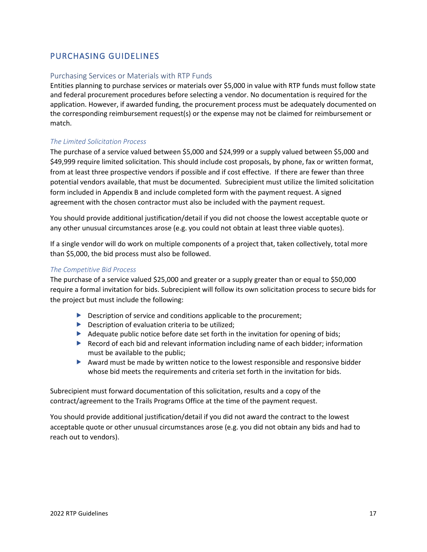# <span id="page-18-0"></span>PURCHASING GUIDELINES

#### <span id="page-18-1"></span>Purchasing Services or Materials with RTP Funds

Entities planning to purchase services or materials over \$5,000 in value with RTP funds must follow state and federal procurement procedures before selecting a vendor. No documentation is required for the application. However, if awarded funding, the procurement process must be adequately documented on the corresponding reimbursement request(s) or the expense may not be claimed for reimbursement or match.

#### *The Limited Solicitation Process*

The purchase of a service valued between \$5,000 and \$24,999 or a supply valued between \$5,000 and \$49,999 require limited solicitation. This should include cost proposals, by phone, fax or written format, from at least three prospective vendors if possible and if cost effective. If there are fewer than three potential vendors available, that must be documented. Subrecipient must utilize the limited solicitation form included in Appendix B and include completed form with the payment request. A signed agreement with the chosen contractor must also be included with the payment request.

You should provide additional justification/detail if you did not choose the lowest acceptable quote or any other unusual circumstances arose (e.g. you could not obtain at least three viable quotes).

If a single vendor will do work on multiple components of a project that, taken collectively, total more than \$5,000, the bid process must also be followed.

#### *The Competitive Bid Process*

The purchase of a service valued \$25,000 and greater or a supply greater than or equal to \$50,000 require a formal invitation for bids. Subrecipient will follow its own solicitation process to secure bids for the project but must include the following:

- $\triangleright$  Description of service and conditions applicable to the procurement;
- $\blacktriangleright$  Description of evaluation criteria to be utilized;
- Adequate public notice before date set forth in the invitation for opening of bids;
- ▶ Record of each bid and relevant information including name of each bidder; information must be available to the public;
- $\blacktriangleright$  Award must be made by written notice to the lowest responsible and responsive bidder whose bid meets the requirements and criteria set forth in the invitation for bids.

Subrecipient must forward documentation of this solicitation, results and a copy of the contract/agreement to the Trails Programs Office at the time of the payment request.

You should provide additional justification/detail if you did not award the contract to the lowest acceptable quote or other unusual circumstances arose (e.g. you did not obtain any bids and had to reach out to vendors).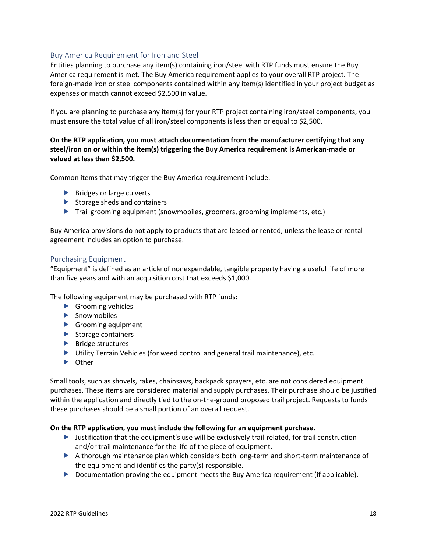## <span id="page-19-0"></span>Buy America Requirement for Iron and Steel

Entities planning to purchase any item(s) containing iron/steel with RTP funds must ensure the Buy America requirement is met. The Buy America requirement applies to your overall RTP project. The foreign-made iron or steel components contained within any item(s) identified in your project budget as expenses or match cannot exceed \$2,500 in value.

If you are planning to purchase any item(s) for your RTP project containing iron/steel components, you must ensure the total value of all iron/steel components is less than or equal to \$2,500.

### **On the RTP application, you must attach documentation from the manufacturer certifying that any steel/iron on or within the item(s) triggering the Buy America requirement is American-made or valued at less than \$2,500.**

Common items that may trigger the Buy America requirement include:

- $\blacktriangleright$  Bridges or large culverts
- $\blacktriangleright$  Storage sheds and containers
- Trail grooming equipment (snowmobiles, groomers, grooming implements, etc.)

Buy America provisions do not apply to products that are leased or rented, unless the lease or rental agreement includes an option to purchase.

#### <span id="page-19-1"></span>Purchasing Equipment

"Equipment" is defined as an article of nonexpendable, tangible property having a useful life of more than five years and with an acquisition cost that exceeds \$1,000.

The following equipment may be purchased with RTP funds:

- Grooming vehicles
- **Snowmobiles**
- Grooming equipment
- $\blacktriangleright$  Storage containers
- $\blacktriangleright$  Bridge structures
- Utility Terrain Vehicles (for weed control and general trail maintenance), etc.
- **D** Other

Small tools, such as shovels, rakes, chainsaws, backpack sprayers, etc. are not considered equipment purchases. These items are considered material and supply purchases. Their purchase should be justified within the application and directly tied to the on-the-ground proposed trail project. Requests to funds these purchases should be a small portion of an overall request.

#### **On the RTP application, you must include the following for an equipment purchase.**

- $\blacktriangleright$  Justification that the equipment's use will be exclusively trail-related, for trail construction and/or trail maintenance for the life of the piece of equipment.
- A thorough maintenance plan which considers both long-term and short-term maintenance of the equipment and identifies the party(s) responsible.
- Documentation proving the equipment meets the Buy America requirement (if applicable).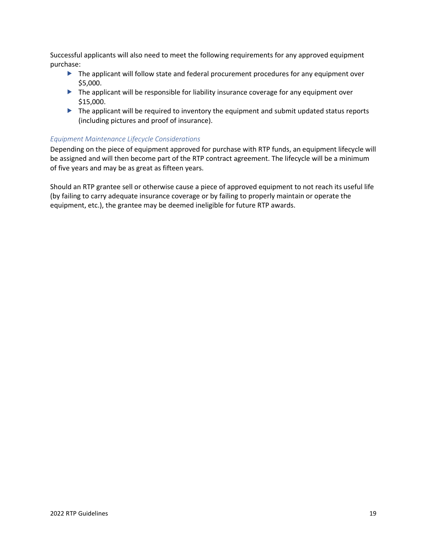Successful applicants will also need to meet the following requirements for any approved equipment purchase:

- The applicant will follow state and federal procurement procedures for any equipment over \$5,000.
- The applicant will be responsible for liability insurance coverage for any equipment over \$15,000.
- The applicant will be required to inventory the equipment and submit updated status reports (including pictures and proof of insurance).

#### *Equipment Maintenance Lifecycle Considerations*

Depending on the piece of equipment approved for purchase with RTP funds, an equipment lifecycle will be assigned and will then become part of the RTP contract agreement. The lifecycle will be a minimum of five years and may be as great as fifteen years.

Should an RTP grantee sell or otherwise cause a piece of approved equipment to not reach its useful life (by failing to carry adequate insurance coverage or by failing to properly maintain or operate the equipment, etc.), the grantee may be deemed ineligible for future RTP awards.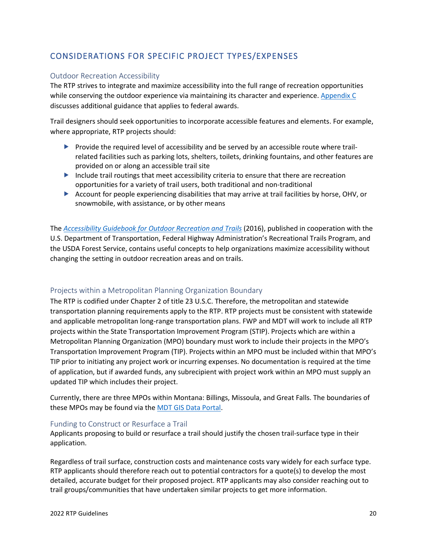# <span id="page-21-0"></span>CONSIDERATIONS FOR SPECIFIC PROJECT TYPES/EXPENSES

#### <span id="page-21-1"></span>Outdoor Recreation Accessibility

The RTP strives to integrate and maximize accessibility into the full range of recreation opportunities while conserving the outdoor experience via maintaining its character and experience. [Appendix C](#page-29-0) discusses additional guidance that applies to federal awards.

Trail designers should seek opportunities to incorporate accessible features and elements. For example, where appropriate, RTP projects should:

- $\triangleright$  Provide the required level of accessibility and be served by an accessible route where trailrelated facilities such as parking lots, shelters, toilets, drinking fountains, and other features are provided on or along an accessible trail site
- Include trail routings that meet accessibility criteria to ensure that there are recreation opportunities for a variety of trail users, both traditional and non-traditional
- Account for people experiencing disabilities that may arrive at trail facilities by horse, OHV, or snowmobile, with assistance, or by other means

The *[Accessibility Guidebook for Outdoor Recreation and Trails](https://www.fs.usda.gov/sites/default/files/Accessibility-Guide-Book.pdf)* (2016), published in cooperation with the U.S. Department of Transportation, Federal Highway Administration's Recreational Trails Program, and the USDA Forest Service, contains useful concepts to help organizations maximize accessibility without changing the setting in outdoor recreation areas and on trails.

## <span id="page-21-2"></span>Projects within a Metropolitan Planning Organization Boundary

The RTP is codified under Chapter 2 of title 23 U.S.C. Therefore, the metropolitan and statewide transportation planning requirements apply to the RTP. RTP projects must be consistent with statewide and applicable metropolitan long-range transportation plans. FWP and MDT will work to include all RTP projects within the State Transportation Improvement Program (STIP). Projects which are within a Metropolitan Planning Organization (MPO) boundary must work to include their projects in the MPO's Transportation Improvement Program (TIP). Projects within an MPO must be included within that MPO's TIP prior to initiating any project work or incurring expenses. No documentation is required at the time of application, but if awarded funds, any subrecipient with project work within an MPO must supply an updated TIP which includes their project.

Currently, there are three MPOs within Montana: Billings, Missoula, and Great Falls. The boundaries of these MPOs may be found via the [MDT GIS Data Portal.](https://gis-mdt.opendata.arcgis.com/datasets/mdt-metropolitan-planning-organization-boundaries/explore?location=46.517465%2C-111.310550%2C7.00)

#### <span id="page-21-3"></span>Funding to Construct or Resurface a Trail

Applicants proposing to build or resurface a trail should justify the chosen trail-surface type in their application.

Regardless of trail surface, construction costs and maintenance costs vary widely for each surface type. RTP applicants should therefore reach out to potential contractors for a quote(s) to develop the most detailed, accurate budget for their proposed project. RTP applicants may also consider reaching out to trail groups/communities that have undertaken similar projects to get more information.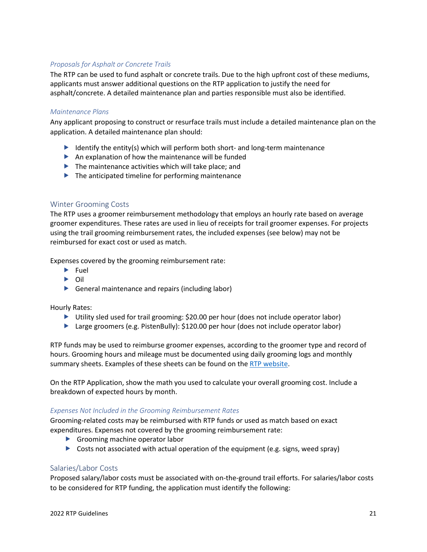### *Proposals for Asphalt or Concrete Trails*

The RTP can be used to fund asphalt or concrete trails. Due to the high upfront cost of these mediums, applicants must answer additional questions on the RTP application to justify the need for asphalt/concrete. A detailed maintenance plan and parties responsible must also be identified.

#### *Maintenance Plans*

Any applicant proposing to construct or resurface trails must include a detailed maintenance plan on the application. A detailed maintenance plan should:

- I dentify the entity(s) which will perform both short- and long-term maintenance
- $\blacktriangleright$  An explanation of how the maintenance will be funded
- $\blacktriangleright$  The maintenance activities which will take place; and
- $\blacktriangleright$  The anticipated timeline for performing maintenance

#### <span id="page-22-0"></span>Winter Grooming Costs

The RTP uses a groomer reimbursement methodology that employs an hourly rate based on average groomer expenditures. These rates are used in lieu of receipts for trail groomer expenses. For projects using the trail grooming reimbursement rates, the included expenses (see below) may not be reimbursed for exact cost or used as match.

Expenses covered by the grooming reimbursement rate:

- $\blacktriangleright$  Fuel
- Oil
- General maintenance and repairs (including labor)

Hourly Rates:

- ▶ Utility sled used for trail grooming: \$20.00 per hour (does not include operator labor)
- Large groomers (e.g. PistenBully):  $$120.00$  per hour (does not include operator labor)

RTP funds may be used to reimburse groomer expenses, according to the groomer type and record of hours. Grooming hours and mileage must be documented using daily grooming logs and monthly summary sheets. Examples of these sheets can be found on the [RTP website.](https://stateparks.mt.gov/aboutfwp/grant-programs/recreational-trails)

On the RTP Application, show the math you used to calculate your overall grooming cost. Include a breakdown of expected hours by month.

#### *Expenses Not Included in the Grooming Reimbursement Rates*

Grooming-related costs may be reimbursed with RTP funds or used as match based on exact expenditures. Expenses not covered by the grooming reimbursement rate:

- Grooming machine operator labor
- $\triangleright$  Costs not associated with actual operation of the equipment (e.g. signs, weed spray)

#### <span id="page-22-1"></span>Salaries/Labor Costs

Proposed salary/labor costs must be associated with on-the-ground trail efforts. For salaries/labor costs to be considered for RTP funding, the application must identify the following: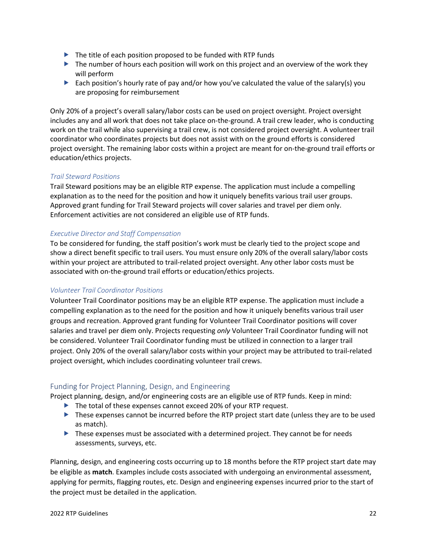- $\blacktriangleright$  The title of each position proposed to be funded with RTP funds
- $\blacktriangleright$  The number of hours each position will work on this project and an overview of the work they will perform
- Each position's hourly rate of pay and/or how you've calculated the value of the salary(s) you are proposing for reimbursement

Only 20% of a project's overall salary/labor costs can be used on project oversight. Project oversight includes any and all work that does not take place on-the-ground. A trail crew leader, who is conducting work on the trail while also supervising a trail crew, is not considered project oversight. A volunteer trail coordinator who coordinates projects but does not assist with on the ground efforts is considered project oversight. The remaining labor costs within a project are meant for on-the-ground trail efforts or education/ethics projects.

### *Trail Steward Positions*

Trail Steward positions may be an eligible RTP expense. The application must include a compelling explanation as to the need for the position and how it uniquely benefits various trail user groups. Approved grant funding for Trail Steward projects will cover salaries and travel per diem only. Enforcement activities are not considered an eligible use of RTP funds.

#### *Executive Director and Staff Compensation*

To be considered for funding, the staff position's work must be clearly tied to the project scope and show a direct benefit specific to trail users. You must ensure only 20% of the overall salary/labor costs within your project are attributed to trail-related project oversight. Any other labor costs must be associated with on-the-ground trail efforts or education/ethics projects.

#### <span id="page-23-1"></span>*Volunteer Trail Coordinator Positions*

Volunteer Trail Coordinator positions may be an eligible RTP expense. The application must include a compelling explanation as to the need for the position and how it uniquely benefits various trail user groups and recreation. Approved grant funding for Volunteer Trail Coordinator positions will cover salaries and travel per diem only. Projects requesting *only* Volunteer Trail Coordinator funding will not be considered. Volunteer Trail Coordinator funding must be utilized in connection to a larger trail project. Only 20% of the overall salary/labor costs within your project may be attributed to trail-related project oversight, which includes coordinating volunteer trail crews.

## <span id="page-23-0"></span>Funding for Project Planning, Design, and Engineering

Project planning, design, and/or engineering costs are an eligible use of RTP funds. Keep in mind:

- The total of these expenses cannot exceed 20% of your RTP request.
- These expenses cannot be incurred before the RTP project start date (unless they are to be used as match).
- **These expenses must be associated with a determined project. They cannot be for needs** assessments, surveys, etc.

Planning, design, and engineering costs occurring up to 18 months before the RTP project start date may be eligible as **match**. Examples include costs associated with undergoing an environmental assessment, applying for permits, flagging routes, etc. Design and engineering expenses incurred prior to the start of the project must be detailed in the application.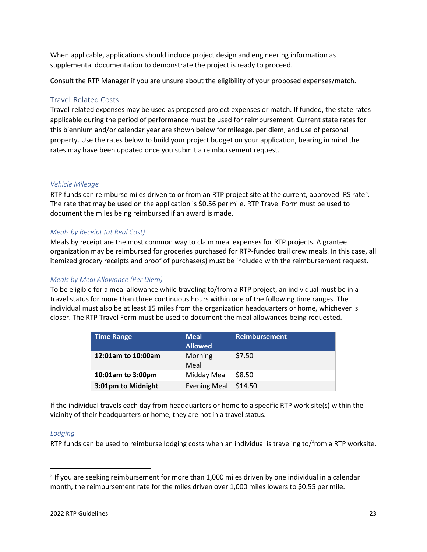When applicable, applications should include project design and engineering information as supplemental documentation to demonstrate the project is ready to proceed.

Consult the RTP Manager if you are unsure about the eligibility of your proposed expenses/match.

### <span id="page-24-0"></span>Travel-Related Costs

Travel-related expenses may be used as proposed project expenses or match. If funded, the state rates applicable during the period of performance must be used for reimbursement. Current state rates for this biennium and/or calendar year are shown below for mileage, per diem, and use of personal property. Use the rates below to build your project budget on your application, bearing in mind the rates may have been updated once you submit a reimbursement request.

#### *Vehicle Mileage*

RTP funds can reimburse miles driven to or from an RTP project site at the current, approved IRS rate<sup>[3](#page-24-1)</sup>. The rate that may be used on the application is \$0.56 per mile. RTP Travel Form must be used to document the miles being reimbursed if an award is made.

#### *Meals by Receipt (at Real Cost)*

Meals by receipt are the most common way to claim meal expenses for RTP projects. A grantee organization may be reimbursed for groceries purchased for RTP-funded trail crew meals. In this case, all itemized grocery receipts and proof of purchase(s) must be included with the reimbursement request.

#### *Meals by Meal Allowance (Per Diem)*

To be eligible for a meal allowance while traveling to/from a RTP project, an individual must be in a travel status for more than three continuous hours within one of the following time ranges. The individual must also be at least 15 miles from the organization headquarters or home, whichever is closer. The RTP Travel Form must be used to document the meal allowances being requested.

| <b>Time Range</b>  | <b>Meal</b><br><b>Allowed</b> | <b>Reimbursement</b> |
|--------------------|-------------------------------|----------------------|
| 12:01am to 10:00am | Morning<br>Meal               | \$7.50               |
| 10:01am to 3:00pm  | Midday Meal                   | \$8.50               |
| 3:01pm to Midnight | <b>Evening Meal</b>           | \$14.50              |

If the individual travels each day from headquarters or home to a specific RTP work site(s) within the vicinity of their headquarters or home, they are not in a travel status.

#### *Lodging*

RTP funds can be used to reimburse lodging costs when an individual is traveling to/from a RTP worksite.

<span id="page-24-1"></span><sup>&</sup>lt;sup>3</sup> If you are seeking reimbursement for more than 1,000 miles driven by one individual in a calendar month, the reimbursement rate for the miles driven over 1,000 miles lowers to \$0.55 per mile.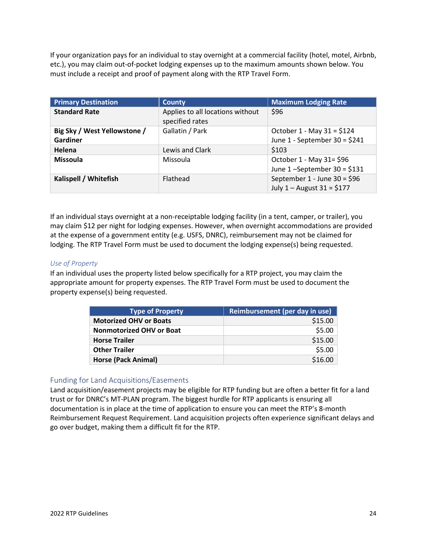If your organization pays for an individual to stay overnight at a commercial facility (hotel, motel, Airbnb, etc.), you may claim out-of-pocket lodging expenses up to the maximum amounts shown below. You must include a receipt and proof of payment along with the RTP Travel Form.

| <b>Primary Destination</b>                      | <b>County</b>                                       | <b>Maximum Lodging Rate</b>                                    |
|-------------------------------------------------|-----------------------------------------------------|----------------------------------------------------------------|
| <b>Standard Rate</b>                            | Applies to all locations without<br>specified rates | \$96                                                           |
| Big Sky / West Yellowstone /<br><b>Gardiner</b> | Gallatin / Park                                     | October $1 - May 31 = $124$<br>June $1 - September 30 = $241$  |
| Helena                                          | Lewis and Clark                                     | \$103                                                          |
| <b>Missoula</b>                                 | Missoula                                            | October 1 - May 31= \$96<br>June $1$ -September 30 = \$131     |
| Kalispell / Whitefish                           | Flathead                                            | September 1 - June 30 = $$96$<br>July $1 -$ August $31 = $177$ |

If an individual stays overnight at a non-receiptable lodging facility (in a tent, camper, or trailer), you may claim \$12 per night for lodging expenses. However, when overnight accommodations are provided at the expense of a government entity (e.g. USFS, DNRC), reimbursement may not be claimed for lodging. The RTP Travel Form must be used to document the lodging expense(s) being requested.

### *Use of Property*

If an individual uses the property listed below specifically for a RTP project, you may claim the appropriate amount for property expenses. The RTP Travel Form must be used to document the property expense(s) being requested.

| <b>Type of Property</b>         | Reimbursement (per day in use) |
|---------------------------------|--------------------------------|
| <b>Motorized OHV or Boats</b>   | \$15.00                        |
| <b>Nonmotorized OHV or Boat</b> | \$5.00                         |
| <b>Horse Trailer</b>            | \$15.00                        |
| <b>Other Trailer</b>            | \$5.00                         |
| <b>Horse (Pack Animal)</b>      | \$16.00                        |

## <span id="page-25-0"></span>Funding for Land Acquisitions/Easements

Land acquisition/easement projects may be eligible for RTP funding but are often a better fit for a land trust or for DNRC's MT-PLAN program. The biggest hurdle for RTP applicants is ensuring all documentation is in place at the time of application to ensure you can meet the RTP's 8-month Reimbursement Request Requirement. Land acquisition projects often experience significant delays and go over budget, making them a difficult fit for the RTP.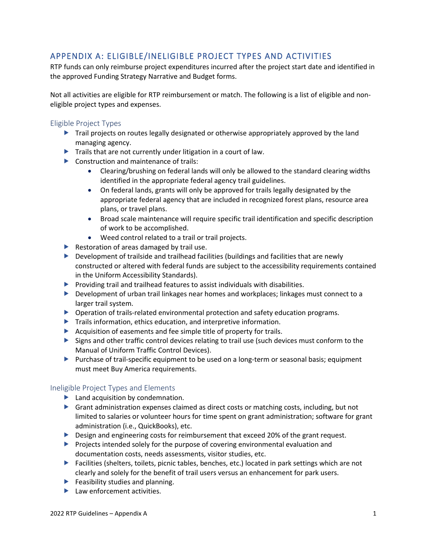# <span id="page-26-0"></span>APPENDIX A: ELIGIBLE/INELIGIBLE PROJECT TYPES AND ACTIVITIES

RTP funds can only reimburse project expenditures incurred after the project start date and identified in the approved Funding Strategy Narrative and Budget forms.

Not all activities are eligible for RTP reimbursement or match. The following is a list of eligible and noneligible project types and expenses.

### <span id="page-26-1"></span>Eligible Project Types

- Trail projects on routes legally designated or otherwise appropriately approved by the land managing agency.
- $\blacktriangleright$  Trails that are not currently under litigation in a court of law.
- Construction and maintenance of trails:
	- Clearing/brushing on federal lands will only be allowed to the standard clearing widths identified in the appropriate federal agency trail guidelines.
	- On federal lands, grants will only be approved for trails legally designated by the appropriate federal agency that are included in recognized forest plans, resource area plans, or travel plans.
	- Broad scale maintenance will require specific trail identification and specific description of work to be accomplished.
	- Weed control related to a trail or trail projects.
- $\blacktriangleright$  Restoration of areas damaged by trail use.
- Development of trailside and trailhead facilities (buildings and facilities that are newly constructed or altered with federal funds are subject to the accessibility requirements contained in the Uniform Accessibility Standards).
- $\blacktriangleright$  Providing trail and trailhead features to assist individuals with disabilities.
- Development of urban trail linkages near homes and workplaces; linkages must connect to a larger trail system.
- Operation of trails-related environmental protection and safety education programs.
- Trails information, ethics education, and interpretive information.
- Acquisition of easements and fee simple title of property for trails.
- Signs and other traffic control devices relating to trail use (such devices must conform to the Manual of Uniform Traffic Control Devices).
- Purchase of trail-specific equipment to be used on a long-term or seasonal basis; equipment must meet Buy America requirements.

#### <span id="page-26-2"></span>Ineligible Project Types and Elements

- **Land acquisition by condemnation.**
- Grant administration expenses claimed as direct costs or matching costs, including, but not limited to salaries or volunteer hours for time spent on grant administration; software for grant administration (i.e., QuickBooks), etc.
- Design and engineering costs for reimbursement that exceed 20% of the grant request.
- Projects intended solely for the purpose of covering environmental evaluation and documentation costs, needs assessments, visitor studies, etc.
- ▶ Facilities (shelters, toilets, picnic tables, benches, etc.) located in park settings which are not clearly and solely for the benefit of trail users versus an enhancement for park users.
- $\blacktriangleright$  Feasibility studies and planning.
- $\blacktriangleright$  Law enforcement activities.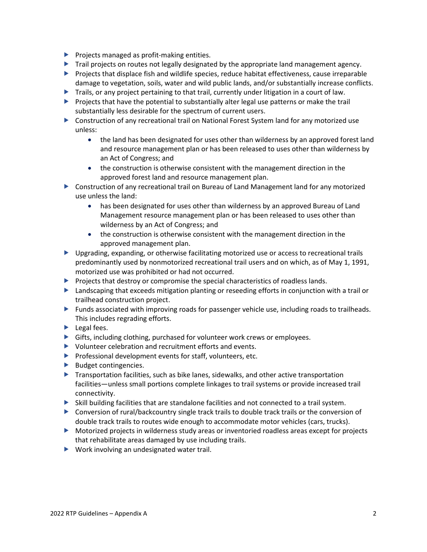- $\blacktriangleright$  Projects managed as profit-making entities.
- Trail projects on routes not legally designated by the appropriate land management agency.
- **Projects that displace fish and wildlife species, reduce habitat effectiveness, cause irreparable** damage to vegetation, soils, water and wild public lands, and/or substantially increase conflicts.
- Trails, or any project pertaining to that trail, currently under litigation in a court of law.
- $\triangleright$  Projects that have the potential to substantially alter legal use patterns or make the trail substantially less desirable for the spectrum of current users.
- Construction of any recreational trail on National Forest System land for any motorized use unless:
	- the land has been designated for uses other than wilderness by an approved forest land and resource management plan or has been released to uses other than wilderness by an Act of Congress; and
	- the construction is otherwise consistent with the management direction in the approved forest land and resource management plan.
- Construction of any recreational trail on Bureau of Land Management land for any motorized use unless the land:
	- has been designated for uses other than wilderness by an approved Bureau of Land Management resource management plan or has been released to uses other than wilderness by an Act of Congress; and
	- the construction is otherwise consistent with the management direction in the approved management plan.
- **Deparations** 1 Upgrading, or otherwise facilitating motorized use or access to recreational trails predominantly used by nonmotorized recreational trail users and on which, as of May 1, 1991, motorized use was prohibited or had not occurred.
- $\blacktriangleright$  Projects that destroy or compromise the special characteristics of roadless lands.
- **EXT** Landscaping that exceeds mitigation planting or reseeding efforts in conjunction with a trail or trailhead construction project.
- Funds associated with improving roads for passenger vehicle use, including roads to trailheads. This includes regrading efforts.
- $\blacktriangleright$  Legal fees.
- Gifts, including clothing, purchased for volunteer work crews or employees.
- Volunteer celebration and recruitment efforts and events.
- $\blacktriangleright$  Professional development events for staff, volunteers, etc.
- $\blacktriangleright$  Budget contingencies.
- $\blacktriangleright$  Transportation facilities, such as bike lanes, sidewalks, and other active transportation facilities—unless small portions complete linkages to trail systems or provide increased trail connectivity.
- $\triangleright$  Skill building facilities that are standalone facilities and not connected to a trail system.
- Conversion of rural/backcountry single track trails to double track trails or the conversion of double track trails to routes wide enough to accommodate motor vehicles (cars, trucks).
- Motorized projects in wilderness study areas or inventoried roadless areas except for projects that rehabilitate areas damaged by use including trails.
- ▶ Work involving an undesignated water trail.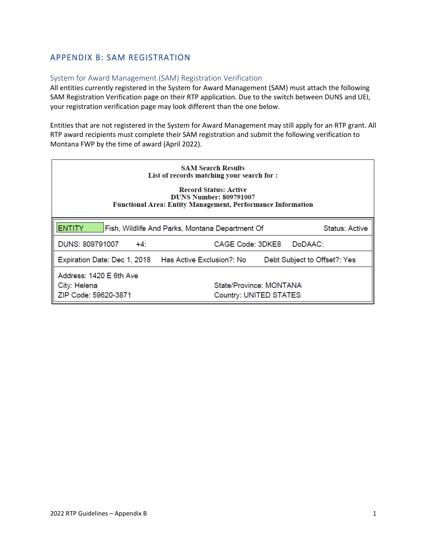# <span id="page-28-0"></span>APPENDIX B: SAM REGISTRATION

### <span id="page-28-1"></span>System for Award Management (SAM) Registration Verification

All entities currently registered in the System for Award Management (SAM) must attach the following SAM Registration Verification page on their RTP application. Due to the switch between DUNS and UEI, your registration verification page may look different than the one below.

Entities that are not registered in the System for Award Management may still apply for an RTP grant. All RTP award recipients must complete their SAM registration and submit the following verification to Montana FWP by the time of award (April 2022).

| <b>SAM Search Results</b><br>List of records matching your search for :<br><b>Record Status: Active</b><br><b>DUNS Number: 809791007</b><br><b>Functional Area: Entity Management, Performance Information</b> |                                                   |                              |  |  |  |
|----------------------------------------------------------------------------------------------------------------------------------------------------------------------------------------------------------------|---------------------------------------------------|------------------------------|--|--|--|
| <b>ENTITY</b>                                                                                                                                                                                                  | Fish, Wildlife And Parks, Montana Department Of   | <b>Status: Active</b>        |  |  |  |
| DUNS: 809791007<br>$+4:$                                                                                                                                                                                       | CAGE Code: 3DKE8                                  | DoDAAC:                      |  |  |  |
| Expiration Date: Dec 1, 2018   Has Active Exclusion?: No                                                                                                                                                       |                                                   | Debt Subject to Offset?: Yes |  |  |  |
| Address: 1420 E 6th Ave<br>City: Helena<br>ZIP Code: 59620-3871                                                                                                                                                | State/Province: MONTANA<br>Country: UNITED STATES |                              |  |  |  |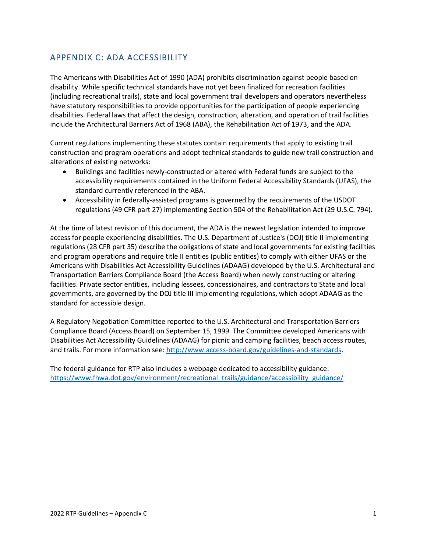# <span id="page-29-0"></span>APPENDIX C: ADA ACCESSIBILITY

The Americans with Disabilities Act of 1990 (ADA) prohibits discrimination against people based on disability. While specific technical standards have not yet been finalized for recreation facilities (including recreational trails), state and local government trail developers and operators nevertheless have statutory responsibilities to provide opportunities for the participation of people experiencing disabilities. Federal laws that affect the design, construction, alteration, and operation of trail facilities include the Architectural Barriers Act of 1968 (ABA), the Rehabilitation Act of 1973, and the ADA.

Current regulations implementing these statutes contain requirements that apply to existing trail construction and program operations and adopt technical standards to guide new trail construction and alterations of existing networks:

- Buildings and facilities newly-constructed or altered with Federal funds are subject to the accessibility requirements contained in the Uniform Federal Accessibility Standards (UFAS), the standard currently referenced in the ABA.
- Accessibility in federally-assisted programs is governed by the requirements of the USDOT regulations (49 CFR part 27) implementing Section 504 of the Rehabilitation Act (29 U.S.C. 794).

At the time of latest revision of this document, the ADA is the newest legislation intended to improve access for people experiencing disabilities. The U.S. Department of Justice's (DOJ) title II implementing regulations (28 CFR part 35) describe the obligations of state and local governments for existing facilities and program operations and require title II entities (public entities) to comply with either UFAS or the Americans with Disabilities Act Accessibility Guidelines (ADAAG) developed by the U.S. Architectural and Transportation Barriers Compliance Board (the Access Board) when newly constructing or altering facilities. Private sector entities, including lessees, concessionaires, and contractors to State and local governments, are governed by the DOJ title III implementing regulations, which adopt ADAAG as the standard for accessible design.

A Regulatory Negotiation Committee reported to the U.S. Architectural and Transportation Barriers Compliance Board (Access Board) on September 15, 1999. The Committee developed Americans with Disabilities Act Accessibility Guidelines (ADAAG) for picnic and camping facilities, beach access routes, and trails. For more information see[: http://www.access-board.gov/guidelines-and-standards.](http://www.access-board.gov/guidelines-and-standards)

The federal guidance for RTP also includes a webpage dedicated to accessibility guidance: [https://www.fhwa.dot.gov/environment/recreational\\_trails/guidance/accessibility\\_guidance/](https://www.fhwa.dot.gov/environment/recreational_trails/guidance/accessibility_guidance/)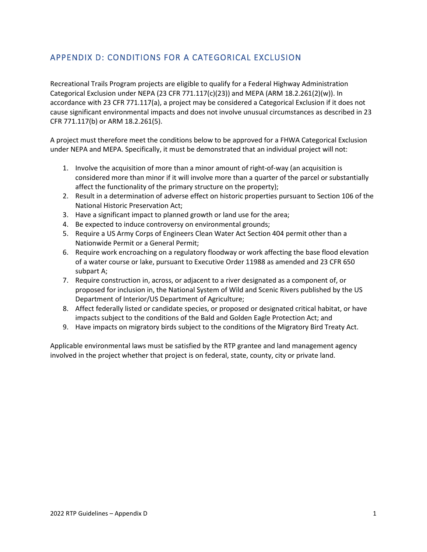# <span id="page-30-0"></span>APPENDIX D: CONDITIONS FOR A CATEGORICAL EXCLUSION

Recreational Trails Program projects are eligible to qualify for a Federal Highway Administration Categorical Exclusion under NEPA (23 CFR 771.117(c)(23)) and MEPA (ARM 18.2.261(2)(w)). In accordance with 23 CFR 771.117(a), a project may be considered a Categorical Exclusion if it does not cause significant environmental impacts and does not involve unusual circumstances as described in 23 CFR 771.117(b) or ARM 18.2.261(5).

A project must therefore meet the conditions below to be approved for a FHWA Categorical Exclusion under NEPA and MEPA. Specifically, it must be demonstrated that an individual project will not:

- 1. Involve the acquisition of more than a minor amount of right-of-way (an acquisition is considered more than minor if it will involve more than a quarter of the parcel or substantially affect the functionality of the primary structure on the property);
- 2. Result in a determination of adverse effect on historic properties pursuant to Section 106 of the National Historic Preservation Act;
- 3. Have a significant impact to planned growth or land use for the area;
- 4. Be expected to induce controversy on environmental grounds;
- 5. Require a US Army Corps of Engineers Clean Water Act Section 404 permit other than a Nationwide Permit or a General Permit;
- 6. Require work encroaching on a regulatory floodway or work affecting the base flood elevation of a water course or lake, pursuant to Executive Order 11988 as amended and 23 CFR 650 subpart A;
- 7. Require construction in, across, or adjacent to a river designated as a component of, or proposed for inclusion in, the National System of Wild and Scenic Rivers published by the US Department of Interior/US Department of Agriculture;
- 8. Affect federally listed or candidate species, or proposed or designated critical habitat, or have impacts subject to the conditions of the Bald and Golden Eagle Protection Act; and
- 9. Have impacts on migratory birds subject to the conditions of the Migratory Bird Treaty Act.

Applicable environmental laws must be satisfied by the RTP grantee and land management agency involved in the project whether that project is on federal, state, county, city or private land.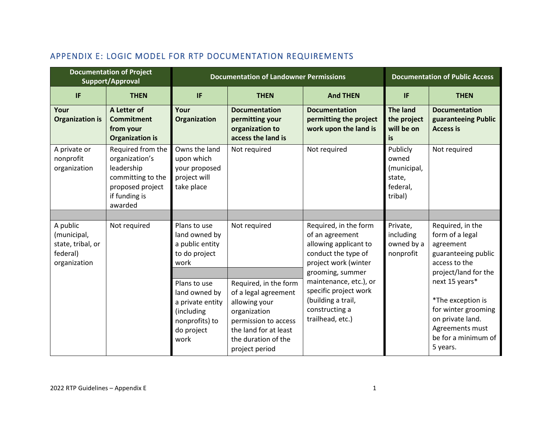<span id="page-31-0"></span>

|                                                                          | <b>Documentation of Project</b><br>Support/Approval                                                                    | <b>Documentation of Landowner Permissions</b>                                                           |                                                                                                                                                                          |                                                                                                             | <b>Documentation of Public Access</b>                                                    |                                                                                                                    |
|--------------------------------------------------------------------------|------------------------------------------------------------------------------------------------------------------------|---------------------------------------------------------------------------------------------------------|--------------------------------------------------------------------------------------------------------------------------------------------------------------------------|-------------------------------------------------------------------------------------------------------------|------------------------------------------------------------------------------------------|--------------------------------------------------------------------------------------------------------------------|
| <b>IF</b>                                                                | <b>THEN</b>                                                                                                            | IF                                                                                                      | <b>THEN</b>                                                                                                                                                              | <b>And THEN</b>                                                                                             | IF                                                                                       | <b>THEN</b>                                                                                                        |
| Your<br><b>Organization is</b>                                           | A Letter of<br><b>Commitment</b><br>from your<br><b>Organization is</b>                                                | Your<br><b>Organization</b>                                                                             | <b>Documentation</b><br>permitting your<br>organization to<br>access the land is                                                                                         | <b>Documentation</b><br>permitting the project<br>work upon the land is                                     | <b>The land</b><br>the project<br>will be on<br>is                                       | <b>Documentation</b><br>guaranteeing Public<br><b>Access is</b>                                                    |
| A private or<br>nonprofit<br>organization                                | Required from the<br>organization's<br>leadership<br>committing to the<br>proposed project<br>if funding is<br>awarded | Owns the land<br>upon which<br>your proposed<br>project will<br>take place                              | Not required                                                                                                                                                             | Not required                                                                                                | Publicly<br>owned<br>(municipal,<br>state,<br>federal,<br>tribal)                        | Not required                                                                                                       |
|                                                                          |                                                                                                                        |                                                                                                         |                                                                                                                                                                          |                                                                                                             |                                                                                          |                                                                                                                    |
| A public<br>(municipal,<br>state, tribal, or<br>federal)<br>organization | Not required<br>Plans to use<br>land owned by<br>a public entity<br>to do project<br>work                              | Not required                                                                                            | Required, in the form<br>of an agreement<br>allowing applicant to<br>conduct the type of<br>project work (winter                                                         | Private,<br>including<br>owned by a<br>nonprofit                                                            | Required, in the<br>form of a legal<br>agreement<br>guaranteeing public<br>access to the |                                                                                                                    |
|                                                                          |                                                                                                                        |                                                                                                         |                                                                                                                                                                          | grooming, summer                                                                                            |                                                                                          | project/land for the<br>next 15 years*                                                                             |
|                                                                          |                                                                                                                        | Plans to use<br>land owned by<br>a private entity<br>(including<br>nonprofits) to<br>do project<br>work | Required, in the form<br>of a legal agreement<br>allowing your<br>organization<br>permission to access<br>the land for at least<br>the duration of the<br>project period | maintenance, etc.), or<br>specific project work<br>(building a trail,<br>constructing a<br>trailhead, etc.) |                                                                                          | *The exception is<br>for winter grooming<br>on private land.<br>Agreements must<br>be for a minimum of<br>5 years. |

# APPENDIX E: LOGIC MODEL FOR RTP DOCUMENTATION REQUIREMENTS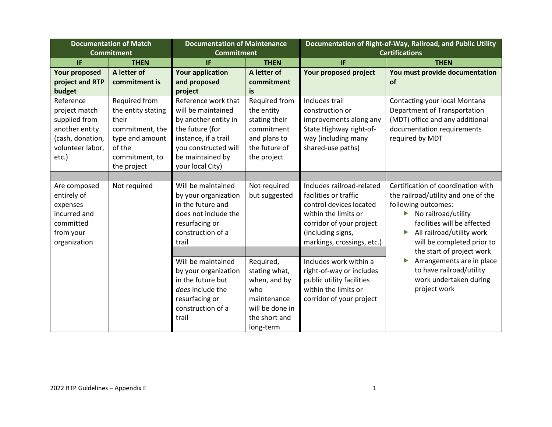| <b>Documentation of Match</b><br><b>Commitment</b>                                                             |                                                                                                                               | <b>Documentation of Maintenance</b><br><b>Commitment</b>                                                                                                                     |                                                                                                                   |                                                                                                                                                                                      | Documentation of Right-of-Way, Railroad, and Public Utility<br><b>Certifications</b>                                                                                                                                                           |
|----------------------------------------------------------------------------------------------------------------|-------------------------------------------------------------------------------------------------------------------------------|------------------------------------------------------------------------------------------------------------------------------------------------------------------------------|-------------------------------------------------------------------------------------------------------------------|--------------------------------------------------------------------------------------------------------------------------------------------------------------------------------------|------------------------------------------------------------------------------------------------------------------------------------------------------------------------------------------------------------------------------------------------|
| <b>IF</b>                                                                                                      | <b>THEN</b>                                                                                                                   | IF                                                                                                                                                                           | <b>THEN</b>                                                                                                       | IF                                                                                                                                                                                   | <b>THEN</b>                                                                                                                                                                                                                                    |
| <b>Your proposed</b><br>project and RTP<br>budget                                                              | A letter of<br>commitment is                                                                                                  | <b>Your application</b><br>and proposed<br>project                                                                                                                           | A letter of<br>commitment<br>is                                                                                   | Your proposed project                                                                                                                                                                | You must provide documentation<br>of                                                                                                                                                                                                           |
| Reference<br>project match<br>supplied from<br>another entity<br>(cash, donation,<br>volunteer labor,<br>etc.) | Required from<br>the entity stating<br>their<br>commitment, the<br>type and amount<br>of the<br>commitment, to<br>the project | Reference work that<br>will be maintained<br>by another entity in<br>the future (for<br>instance, if a trail<br>you constructed will<br>be maintained by<br>your local City) | Required from<br>the entity<br>stating their<br>commitment<br>and plans to<br>the future of<br>the project        | Includes trail<br>construction or<br>improvements along any<br>State Highway right-of-<br>way (including many<br>shared-use paths)                                                   | Contacting your local Montana<br>Department of Transportation<br>(MDT) office and any additional<br>documentation requirements<br>required by MDT                                                                                              |
|                                                                                                                |                                                                                                                               |                                                                                                                                                                              |                                                                                                                   |                                                                                                                                                                                      |                                                                                                                                                                                                                                                |
| Are composed<br>entirely of<br>expenses<br>incurred and<br>committed<br>from your<br>organization              | Not required                                                                                                                  | Will be maintained<br>by your organization<br>in the future and<br>does not include the<br>resurfacing or<br>construction of a<br>trail                                      | Not required<br>but suggested                                                                                     | Includes railroad-related<br>facilities or traffic<br>control devices located<br>within the limits or<br>corridor of your project<br>(including signs,<br>markings, crossings, etc.) | Certification of coordination with<br>the railroad/utility and one of the<br>following outcomes:<br>No railroad/utility<br>facilities will be affected<br>All railroad/utility work<br>will be completed prior to<br>the start of project work |
|                                                                                                                |                                                                                                                               | Will be maintained<br>by your organization<br>in the future but<br>does include the<br>resurfacing or<br>construction of a<br>trail                                          | Required,<br>stating what,<br>when, and by<br>who<br>maintenance<br>will be done in<br>the short and<br>long-term | Includes work within a<br>right-of-way or includes<br>public utility facilities<br>within the limits or<br>corridor of your project                                                  | Arrangements are in place<br>to have railroad/utility<br>work undertaken during<br>project work                                                                                                                                                |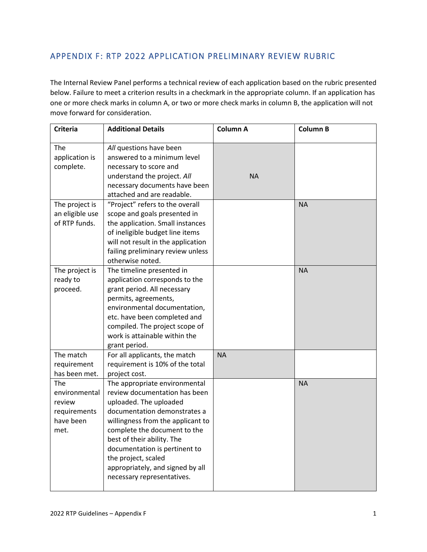# <span id="page-33-0"></span>APPENDIX F: RTP 2022 APPLICATION PRELIMINARY REVIEW RUBRIC

The Internal Review Panel performs a technical review of each application based on the rubric presented below. Failure to meet a criterion results in a checkmark in the appropriate column. If an application has one or more check marks in column A, or two or more check marks in column B, the application will not move forward for consideration.

| <b>Criteria</b>                                                     | <b>Additional Details</b>                                                                                                                                                                                                                                                                                                                             | <b>Column A</b> | <b>Column B</b> |
|---------------------------------------------------------------------|-------------------------------------------------------------------------------------------------------------------------------------------------------------------------------------------------------------------------------------------------------------------------------------------------------------------------------------------------------|-----------------|-----------------|
| The<br>application is<br>complete.                                  | All questions have been<br>answered to a minimum level<br>necessary to score and<br>understand the project. All<br>necessary documents have been<br>attached and are readable.                                                                                                                                                                        | <b>NA</b>       |                 |
| The project is<br>an eligible use<br>of RTP funds.                  | "Project" refers to the overall<br>scope and goals presented in<br>the application. Small instances<br>of ineligible budget line items<br>will not result in the application<br>failing preliminary review unless<br>otherwise noted.                                                                                                                 |                 | <b>NA</b>       |
| The project is<br>ready to<br>proceed.                              | The timeline presented in<br>application corresponds to the<br>grant period. All necessary<br>permits, agreements,<br>environmental documentation,<br>etc. have been completed and<br>compiled. The project scope of<br>work is attainable within the<br>grant period.                                                                                |                 | <b>NA</b>       |
| The match<br>requirement<br>has been met.                           | For all applicants, the match<br>requirement is 10% of the total<br>project cost.                                                                                                                                                                                                                                                                     | <b>NA</b>       |                 |
| The<br>environmental<br>review<br>requirements<br>have been<br>met. | The appropriate environmental<br>review documentation has been<br>uploaded. The uploaded<br>documentation demonstrates a<br>willingness from the applicant to<br>complete the document to the<br>best of their ability. The<br>documentation is pertinent to<br>the project, scaled<br>appropriately, and signed by all<br>necessary representatives. |                 | <b>NA</b>       |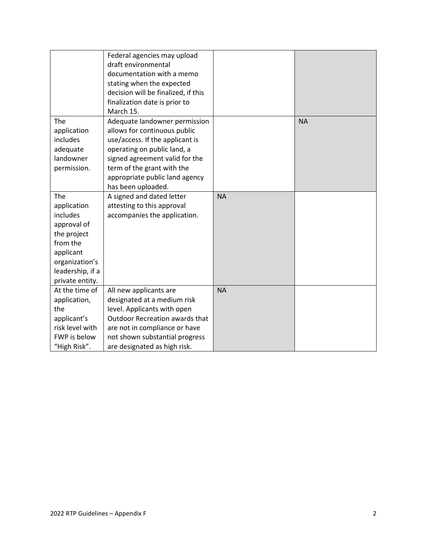|                                                                                                                                                | Federal agencies may upload<br>draft environmental<br>documentation with a memo<br>stating when the expected<br>decision will be finalized, if this<br>finalization date is prior to<br>March 15.                                                       |           |           |
|------------------------------------------------------------------------------------------------------------------------------------------------|---------------------------------------------------------------------------------------------------------------------------------------------------------------------------------------------------------------------------------------------------------|-----------|-----------|
| The<br>application<br>includes<br>adequate<br>landowner<br>permission.                                                                         | Adequate landowner permission<br>allows for continuous public<br>use/access. If the applicant is<br>operating on public land, a<br>signed agreement valid for the<br>term of the grant with the<br>appropriate public land agency<br>has been uploaded. |           | <b>NA</b> |
| The<br>application<br>includes<br>approval of<br>the project<br>from the<br>applicant<br>organization's<br>leadership, if a<br>private entity. | A signed and dated letter<br>attesting to this approval<br>accompanies the application.                                                                                                                                                                 | <b>NA</b> |           |
| At the time of<br>application,<br>the<br>applicant's<br>risk level with<br>FWP is below<br>"High Risk".                                        | All new applicants are<br>designated at a medium risk<br>level. Applicants with open<br>Outdoor Recreation awards that<br>are not in compliance or have<br>not shown substantial progress<br>are designated as high risk.                               | <b>NA</b> |           |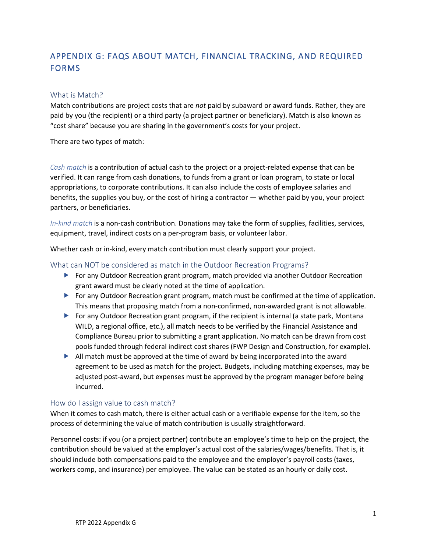# <span id="page-35-0"></span>APPENDIX G: FAQS ABOUT MATCH, FINANCIAL TRACKING, AND REQUIRED FORMS

#### <span id="page-35-1"></span>What is Match?

Match contributions are project costs that are *not* paid by subaward or award funds. Rather, they are paid by you (the recipient) or a third party (a project partner or beneficiary). Match is also known as "cost share" because you are sharing in the government's costs for your project.

There are two types of match:

*Cash match* is a contribution of actual cash to the project or a project-related expense that can be verified. It can range from cash donations, to funds from a grant or loan program, to state or local appropriations, to corporate contributions. It can also include the costs of employee salaries and benefits, the supplies you buy, or the cost of hiring a contractor — whether paid by you, your project partners, or beneficiaries.

*In-kind match* is a non-cash contribution. Donations may take the form of supplies, facilities, services, equipment, travel, indirect costs on a per-program basis, or volunteer labor.

Whether cash or in-kind, every match contribution must clearly support your project.

#### <span id="page-35-2"></span>What can NOT be considered as match in the Outdoor Recreation Programs?

- ▶ For any Outdoor Recreation grant program, match provided via another Outdoor Recreation grant award must be clearly noted at the time of application.
- For any Outdoor Recreation grant program, match must be confirmed at the time of application. This means that proposing match from a non-confirmed, non-awarded grant is not allowable.
- For any Outdoor Recreation grant program, if the recipient is internal (a state park, Montana WILD, a regional office, etc.), all match needs to be verified by the Financial Assistance and Compliance Bureau prior to submitting a grant application. No match can be drawn from cost pools funded through federal indirect cost shares (FWP Design and Construction, for example).
- $\blacktriangleright$  All match must be approved at the time of award by being incorporated into the award agreement to be used as match for the project. Budgets, including matching expenses, may be adjusted post-award, but expenses must be approved by the program manager before being incurred.

#### <span id="page-35-3"></span>How do I assign value to cash match?

When it comes to cash match, there is either actual cash or a verifiable expense for the item, so the process of determining the value of match contribution is usually straightforward.

Personnel costs: if you (or a project partner) contribute an employee's time to help on the project, the contribution should be valued at the employer's actual cost of the salaries/wages/benefits. That is, it should include both compensations paid to the employee and the employer's payroll costs (taxes, workers comp, and insurance) per employee. The value can be stated as an hourly or daily cost.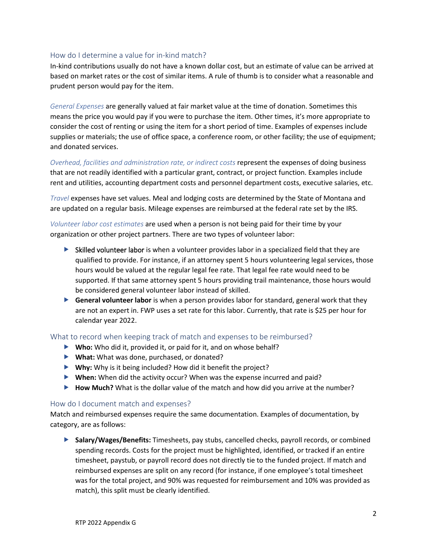#### <span id="page-36-0"></span>How do I determine a value for in-kind match?

In-kind contributions usually do not have a known dollar cost, but an estimate of value can be arrived at based on market rates or the cost of similar items. A rule of thumb is to consider what a reasonable and prudent person would pay for the item.

*General Expenses* are generally valued at fair market value at the time of donation. Sometimes this means the price you would pay if you were to purchase the item. Other times, it's more appropriate to consider the cost of renting or using the item for a short period of time. Examples of expenses include supplies or materials; the use of office space, a conference room, or other facility; the use of equipment; and donated services.

*Overhead, facilities and administration rate, or indirect costs* represent the expenses of doing business that are not readily identified with a particular grant, contract, or project function. Examples include rent and utilities, accounting department costs and personnel department costs, executive salaries, etc.

*Travel* expenses have set values. Meal and lodging costs are determined by the State of Montana and are updated on a regular basis. Mileage expenses are reimbursed at the federal rate set by the IRS.

*Volunteer labor cost estimates* are used when a person is not being paid for their time by your organization or other project partners. There are two types of volunteer labor:

- $\triangleright$  Skilled volunteer labor is when a volunteer provides labor in a specialized field that they are qualified to provide. For instance, if an attorney spent 5 hours volunteering legal services, those hours would be valued at the regular legal fee rate. That legal fee rate would need to be supported. If that same attorney spent 5 hours providing trail maintenance, those hours would be considered general volunteer labor instead of skilled.
- **General volunteer labor** is when a person provides labor for standard, general work that they are not an expert in. FWP uses a set rate for this labor. Currently, that rate is \$25 per hour for calendar year 2022.

#### <span id="page-36-1"></span>What to record when keeping track of match and expenses to be reimbursed?

- ▶ Who: Who did it, provided it, or paid for it, and on whose behalf?
- **What:** What was done, purchased, or donated?
- **Why:** Why is it being included? How did it benefit the project?
- **When:** When did the activity occur? When was the expense incurred and paid?
- ▶ **How Much?** What is the dollar value of the match and how did you arrive at the number?

#### <span id="page-36-2"></span>How do I document match and expenses?

Match and reimbursed expenses require the same documentation. Examples of documentation, by category, are as follows:

 **Salary/Wages/Benefits:** Timesheets, pay stubs, cancelled checks, payroll records, or combined spending records. Costs for the project must be highlighted, identified, or tracked if an entire timesheet, paystub, or payroll record does not directly tie to the funded project. If match and reimbursed expenses are split on any record (for instance, if one employee's total timesheet was for the total project, and 90% was requested for reimbursement and 10% was provided as match), this split must be clearly identified.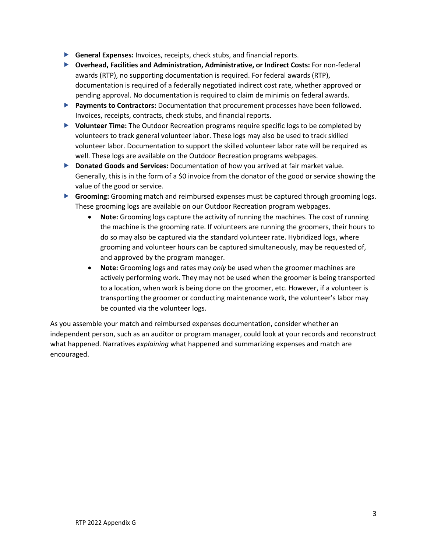- **General Expenses:** Invoices, receipts, check stubs, and financial reports.
- **Overhead, Facilities and Administration, Administrative, or Indirect Costs:** For non-federal awards (RTP), no supporting documentation is required. For federal awards (RTP), documentation is required of a federally negotiated indirect cost rate, whether approved or pending approval. No documentation is required to claim de minimis on federal awards.
- **Payments to Contractors:** Documentation that procurement processes have been followed. Invoices, receipts, contracts, check stubs, and financial reports.
- **Volunteer Time:** The Outdoor Recreation programs require specific logs to be completed by volunteers to track general volunteer labor. These logs may also be used to track skilled volunteer labor. Documentation to support the skilled volunteer labor rate will be required as well. These logs are available on the Outdoor Recreation programs webpages.
- **Donated Goods and Services:** Documentation of how you arrived at fair market value. Generally, this is in the form of a \$0 invoice from the donator of the good or service showing the value of the good or service.
- **Grooming:** Grooming match and reimbursed expenses must be captured through grooming logs. These grooming logs are available on our Outdoor Recreation program webpages.
	- **Note:** Grooming logs capture the activity of running the machines. The cost of running the machine is the grooming rate. If volunteers are running the groomers, their hours to do so may also be captured via the standard volunteer rate. Hybridized logs, where grooming and volunteer hours can be captured simultaneously, may be requested of, and approved by the program manager.
	- **Note:** Grooming logs and rates may *only* be used when the groomer machines are actively performing work. They may not be used when the groomer is being transported to a location, when work is being done on the groomer, etc. However, if a volunteer is transporting the groomer or conducting maintenance work, the volunteer's labor may be counted via the volunteer logs.

As you assemble your match and reimbursed expenses documentation, consider whether an independent person, such as an auditor or program manager, could look at your records and reconstruct what happened. Narratives *explaining* what happened and summarizing expenses and match are encouraged.